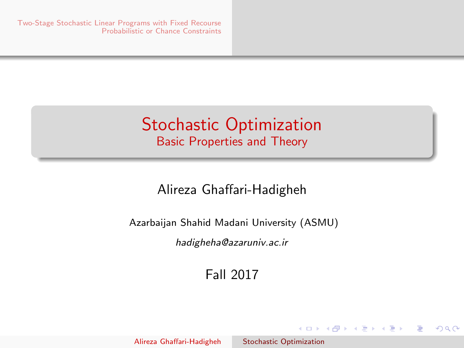# <span id="page-0-0"></span>Stochastic Optimization Basic Properties and Theory

## Alireza Ghaffari-Hadigheh

Azarbaijan Shahid Madani University (ASMU)

hadigheha@azaruniv.ac.ir

Fall 2017

イロン イ母ン イヨン イヨン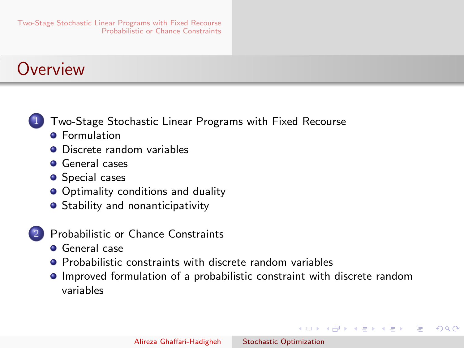# <span id="page-1-0"></span>**Overview**



- 1 [Two-Stage Stochastic Linear Programs with Fixed Recourse](#page-2-0)
	- **A** [Formulation](#page-2-0)
	- **•** [Discrete random variables](#page-4-0)
	- **[General cases](#page-13-0)**
	- **•** [Special cases](#page-26-0)
	- **•** [Optimality conditions and duality](#page-31-0)
	- **•** [Stability and nonanticipativity](#page-41-0)
- [Probabilistic or Chance Constraints](#page-45-0)
	- **[General case](#page-45-0)**
	- **[Probabilistic constraints with discrete random variables](#page-55-0)**
	- [Improved formulation of a probabilistic constraint with discrete random](#page-64-0) [variables](#page-64-0)

イロメ イ母メ イヨメ イヨメー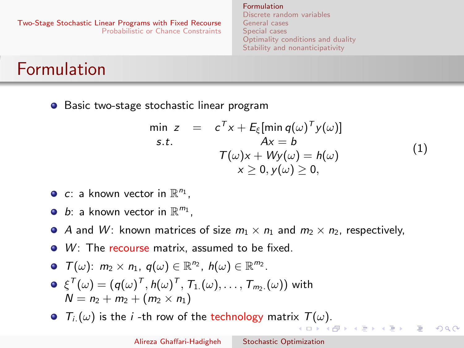<span id="page-2-0"></span>[Two-Stage Stochastic Linear Programs with Fixed Recourse](#page-2-0) [Probabilistic or Chance Constraints](#page-45-0) [General cases](#page-13-0) [Special cases](#page-26-0)

[Formulation](#page-2-0) [Discrete random variables](#page-4-0) [Optimality conditions and duality](#page-31-0) [Stability and nonanticipativity](#page-41-0)

# Formulation

**•** Basic two-stage stochastic linear program

<span id="page-2-1"></span>
$$
\min z = c^T x + E_{\xi}[\min q(\omega)^T y(\omega)]
$$
\n
$$
s.t. \qquad Ax = b
$$
\n
$$
T(\omega)x + Wy(\omega) = h(\omega)
$$
\n
$$
x \ge 0, y(\omega) \ge 0,
$$
\n(1)

- c: a known vector in  $\mathbb{R}^{n_1}$ ,
- b: a known vector in  $\mathbb{R}^{m_1}$ ,
- A and W: known matrices of size  $m_1 \times n_1$  and  $m_2 \times n_2$ , respectively,
- $\bullet$  W: The recourse matrix, assumed to be fixed.
- $\mathcal{T}(\omega)$ :  $m_2 \times n_1$ ,  $q(\omega) \in \mathbb{R}^{n_2}$ ,  $h(\omega) \in \mathbb{R}^{m_2}$ .
- $\xi^{\mathcal{T}}(\omega) = (q(\omega)^{\mathcal{T}}, h(\omega)^{\mathcal{T}}, \mathcal{T}_{1.}(\omega), \ldots, \mathcal{T}_{m_2.}(\omega))$  with  $N = n_2 + m_2 + (m_2 \times n_1)$
- $\bullet$   $T_i(\omega)$  $T_i(\omega)$  is the *i*-th row of the technology matri[x](#page-1-0)  $T(\omega)$ [.](#page-2-0)

(ロ) (母) (ヨ) (ヨ)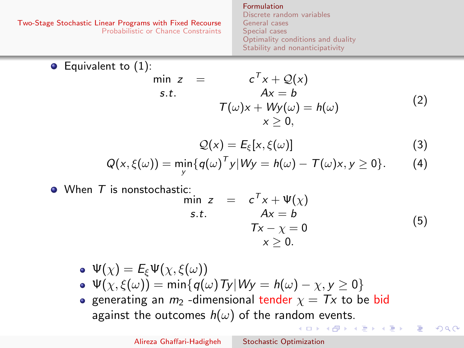<span id="page-3-0"></span>ο

[Formulation](#page-2-0) [Discrete random variables](#page-4-0) [General cases](#page-13-0) [Special cases](#page-26-0) [Optimality conditions and duality](#page-31-0) [Stability and nonanticipativity](#page-41-0)

Equivalent to (1):

\n
$$
\begin{array}{rcl}\n\min z & = & c^T x + \mathcal{Q}(x) \\
\text{s.t.} & & Ax = b \\
& & \mathcal{T}(\omega)x + Wy(\omega) = h(\omega) \\
& & x \ge 0,\n\end{array}
$$
\n(2)

<span id="page-3-2"></span><span id="page-3-1"></span>
$$
\mathcal{Q}(x) = E_{\xi}[x, \xi(\omega)] \tag{3}
$$

$$
Q(x,\xi(\omega)) = \min_{y} \{q(\omega)^{T} y | Wy = h(\omega) - T(\omega)x, y \ge 0\}.
$$
 (4)

 $\bullet$  When  $\tau$  is nonstochastic:

$$
\min_{\mathbf{S}.\mathbf{t}} \mathbf{z} = c^T \mathbf{x} + \Psi(\mathbf{x}) \n\mathbf{A}\mathbf{x} = \mathbf{b} \n\mathbf{T}\mathbf{x} - \mathbf{\chi} = 0 \n\mathbf{x} \ge 0.
$$
\n(5)

イロン イ母ン イヨン イヨン

つくへ

- $\Phi \Psi(\chi) = E_{\varepsilon} \Psi(\chi, \xi(\omega))$  $\Psi(\chi, \xi(\omega)) = \min\{q(\omega) \text{Ty}| W_y = h(\omega) - \chi, y \ge 0\}$
- generating an  $m_2$  -dimensional tender  $\chi = Tx$  to be bid against the outcomes  $h(\omega)$  of the random events.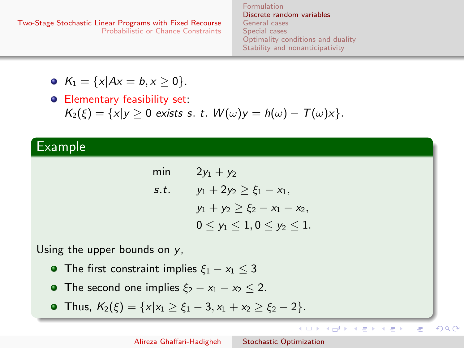[Formulation](#page-2-0) [Discrete random variables](#page-4-0) [General cases](#page-13-0) [Special cases](#page-26-0) [Optimality conditions and duality](#page-31-0) [Stability and nonanticipativity](#page-41-0)

<span id="page-4-0"></span>• 
$$
K_1 = \{x | Ax = b, x \ge 0\}.
$$

Elementary feasibility set:  $K_2(\xi) = \{x|y \geq 0 \text{ exists s. t. } W(\omega)y = h(\omega) - T(\omega)x\}.$ 

### Example

| min  | $2y_1 + y_2$                        |
|------|-------------------------------------|
| s.t. | $y_1 + 2y_2 \ge \xi_1 - x_1$        |
|      | $y_1 + y_2 \ge \xi_2 - x_1 - x_2$   |
|      | $0 \le y_1 \le 1, 0 \le y_2 \le 1.$ |

Using the upper bounds on  $y$ ,

- The first constraint implies  $\xi_1 x_1 < 3$
- The second one implies  $\xi_2 x_1 x_2 \leq 2$ .
- Thus,  $K_2(\xi) = \{x | x_1 > \xi_1 3, x_1 + x_2 > \xi_2 2\}.$

イロン イ母ン イヨン イヨン

E

 $QQ$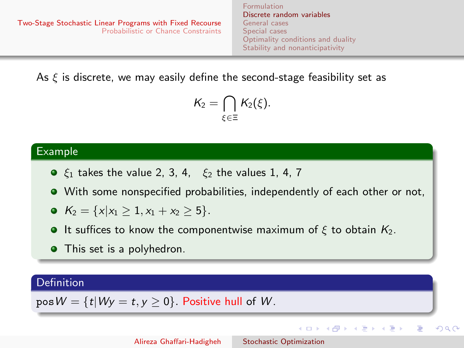<span id="page-5-0"></span>[Two-Stage Stochastic Linear Programs with Fixed Recourse](#page-2-0) [Probabilistic or Chance Constraints](#page-45-0) [Formulation](#page-2-0) [Discrete random variables](#page-4-0) [General cases](#page-13-0) [Special cases](#page-26-0) [Optimality conditions and duality](#page-31-0) [Stability and nonanticipativity](#page-41-0)

As  $\xi$  is discrete, we may easily define the second-stage feasibility set as

$$
\mathcal{K}_2 = \bigcap_{\xi \in \Xi} \mathcal{K}_2(\xi).
$$

#### Example

- $\xi_1$  takes the value 2, 3, 4,  $\xi_2$  the values 1, 4, 7
- With some nonspecified probabilities, independently of each other or not,
- $K_2 = \{x | x_1 \geq 1, x_1 + x_2 \geq 5\}.$
- **It suffices to know the componentwise maximum of ξ to obtain**  $K_2$ **.**
- This set is a polyhedron.

### Definition

 $posW = {t|Wv = t, v > 0}$ . Positive hull of W.

イロメ イ何 メ イヨメ イヨメー

э

つくへ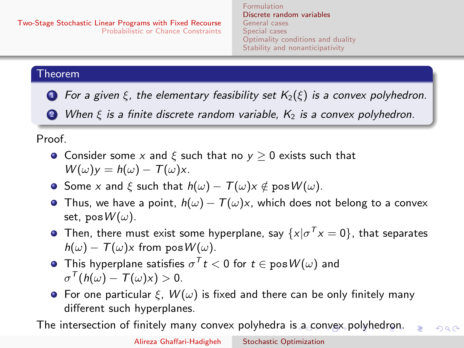[Formulation](#page-2-0) [Discrete random variables](#page-4-0) [General cases](#page-13-0) [Special cases](#page-26-0) [Optimality conditions and duality](#page-31-0) [Stability and nonanticipativity](#page-41-0)

### <span id="page-6-0"></span>Theorem

**1** For a given  $\xi$ , the elementary feasibility set  $K_2(\xi)$  is a convex polyhedron.

2 When  $\xi$  is a finite discrete random variable,  $K_2$  is a convex polyhedron.

Proof.

- **•** Consider some x and  $\xi$  such that no  $y > 0$  exists such that  $W(\omega)y = h(\omega) - T(\omega)x$ .
- Some x and  $\xi$  such that  $h(\omega) T(\omega)x \notin \text{pos } W(\omega)$ .
- Thus, we have a point,  $h(\omega) T(\omega)x$ , which does not belong to a convex set, pos $W(\omega)$ .
- Then, there must exist some hyperplane, say  $\{x|\sigma^T x=0\}$ , that separates  $h(\omega) - T(\omega)x$  from pos  $W(\omega)$ .
- This hyperplane satisfies  $\sigma^{\mathsf{T}} t < 0$  for  $t \in \mathsf{pos}\, \mathcal{W}(\omega)$  and  $\sigma^{\mathcal{T}}(h(\omega) - \mathcal{T}(\omega) \times) > 0.$
- **•** For one particular  $\xi$ ,  $W(\omega)$  is fixed and there can be only finitely many different such hyperplanes.

The intersection of finitely many convex polyhedra i[s a](#page-5-0) [co](#page-7-0)[n](#page-44-0)[vex](#page-6-0) [p](#page-7-0)[o](#page-3-0)[l](#page-4-0)[yh](#page-12-0)[e](#page-13-0)[d](#page-1-0)[ro](#page-2-0)n[.](#page-45-0)  $QQ$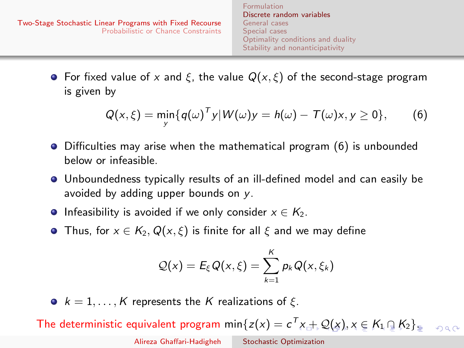<span id="page-7-0"></span>**•** For fixed value of x and  $\xi$ , the value  $Q(x, \xi)$  of the second-stage program is given by

<span id="page-7-1"></span>
$$
Q(x,\xi) = \min_{y} \{q(\omega)^{T} y | W(\omega) y = h(\omega) - T(\omega) x, y \ge 0\},
$$
 (6)

[Formulation](#page-2-0)

- Difficulties may arise when the mathematical program [\(6\)](#page-7-1) is unbounded below or infeasible.
- Unboundedness typically results of an ill-defined model and can easily be avoided by adding upper bounds on y.
- **•** Infeasibility is avoided if we only consider  $x \in K_2$ .
- **•** Thus, for  $x \in K_2, Q(x, \xi)$  is finite for all  $\xi$  and we may define

$$
Q(x) = E_{\xi} Q(x, \xi) = \sum_{k=1}^{K} p_k Q(x, \xi_k)
$$

•  $k = 1, ..., K$  represents the K realizations of  $\xi$ .

The deterministic equivalent program min $\{z(x)=c^T x + Q(x), x\in K_1\cap K_2\}$  $\{z(x)=c^T x + Q(x), x\in K_1\cap K_2\}$  $\{z(x)=c^T x + Q(x), x\in K_1\cap K_2\}$  $\{z(x)=c^T x + Q(x), x\in K_1\cap K_2\}$  $\{z(x)=c^T x + Q(x), x\in K_1\cap K_2\}$  $\{z(x)=c^T x + Q(x), x\in K_1\cap K_2\}$  $\{z(x)=c^T x + Q(x), x\in K_1\cap K_2\}$  $\{z(x)=c^T x + Q(x), x\in K_1\cap K_2\}$  $\{z(x)=c^T x + Q(x), x\in K_1\cap K_2\}$  $\{z(x)=c^T x + Q(x), x\in K_1\cap K_2\}$  $\{z(x)=c^T x + Q(x), x\in K_1\cap K_2\}$  $\{z(x)=c^T x + Q(x), x\in K_1\cap K_2\}$  $\{z(x)=c^T x + Q(x), x\in K_1\cap K_2\}$  $\{z(x)=c^T x + Q(x), x\in K_1\cap K_2\}$  $\{z(x)=c^T x + Q(x), x\in K_1\cap K_2\}$  $000$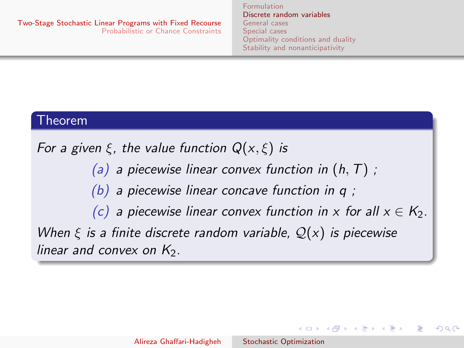[Formulation](#page-2-0) [Discrete random variables](#page-4-0) [General cases](#page-13-0) [Special cases](#page-26-0) [Optimality conditions and duality](#page-31-0) [Stability and nonanticipativity](#page-41-0)

イロン イ母ン イヨン イヨン

 $\Omega$ 

### <span id="page-8-0"></span>Theorem

For a given  $\xi$ , the value function  $Q(x,\xi)$  is

(a) a piecewise linear convex function in  $(h, T)$ ;

(b) a piecewise linear concave function in q;

(c) a piecewise linear convex function in x for all  $x \in K_2$ . When  $\xi$  is a finite discrete random variable,  $\mathcal{Q}(x)$  is piecewise linear and convex on  $K<sub>2</sub>$ .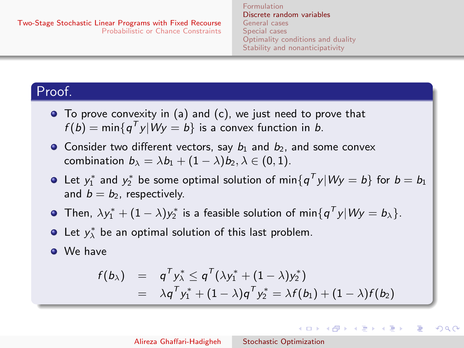[Formulation](#page-2-0) [Discrete random variables](#page-4-0) [General cases](#page-13-0) [Special cases](#page-26-0) [Optimality conditions and duality](#page-31-0) [Stability and nonanticipativity](#page-41-0)

 $\left\{ \begin{array}{ccc} 1 & 0 & 0 \\ 0 & 1 & 0 \end{array} \right.$ 

 $\Omega$ 

## Proof.

- To prove convexity in (a) and (c), we just need to prove that  $f(b) = min\{q^T y | Wy = b\}$  is a convex function in b.
- Consider two different vectors, say  $b_1$  and  $b_2$ , and some convex combination  $b_{\lambda} = \lambda b_1 + (1 - \lambda) b_2, \lambda \in (0, 1)$ .
- Let  $y_1^*$  and  $y_2^*$  be some optimal solution of min $\{q^{\mathcal T} y | W y = b\}$  for  $b = b_1$ and  $b = b_2$ , respectively.
- Then,  $\lambda y_1^* + (1 \lambda) y_2^*$  is a feasible solution of min $\{q^{\mathsf{T}} y| W y = b_{\lambda}\}.$
- Let  $y_{\lambda}^{*}$  be an optimal solution of this last problem.

**O** We have

$$
f(b_{\lambda}) = q^{T} y_{\lambda}^{*} \leq q^{T} (\lambda y_{1}^{*} + (1 - \lambda) y_{2}^{*})
$$
  
=  $\lambda q^{T} y_{1}^{*} + (1 - \lambda) q^{T} y_{2}^{*} = \lambda f(b_{1}) + (1 - \lambda) f(b_{2})$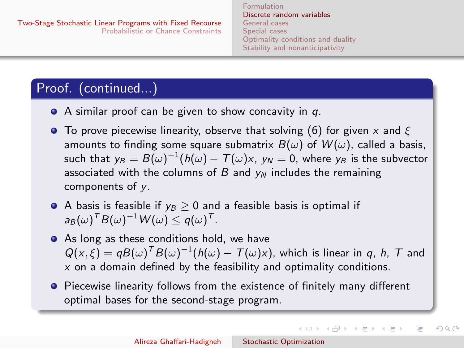[Formulation](#page-2-0) [Discrete random variables](#page-4-0) [General cases](#page-13-0) [Special cases](#page-26-0) [Optimality conditions and duality](#page-31-0) [Stability and nonanticipativity](#page-41-0)

イロメ イ母メ イヨメ イヨメー

つくい

# Proof. (continued...)

- $\bullet$  A similar proof can be given to show concavity in q.
- **To prove piecewise linearity, observe that solving [\(6\)](#page-7-1) for given x and**  $\xi$ amounts to finding some square submatrix  $B(\omega)$  of  $W(\omega)$ , called a basis, such that  ${\sf y}_B=B(\omega)^{-1} (h(\omega)-{\cal T}(\omega) {\sf x},\ {\sf y}_N=0,$  where  ${\sf y}_B$  is the subvector associated with the columns of  $B$  and  $y_N$  includes the remaining components of y.
- A basis is feasible if  $y_B > 0$  and a feasible basis is optimal if  $\mathsf{a}_B(\omega)^\mathsf{T} B(\omega)^{-1} \mathsf{W}(\omega) \leq \mathsf{q}(\omega)^\mathsf{T}.$
- As long as these conditions hold, we have  $Q(x,\xi) = qB(\omega)^T B(\omega)^{-1} (h(\omega) - T(\omega)x)$ , which is linear in q, h, T and  $x$  on a domain defined by the feasibility and optimality conditions.
- **•** Piecewise linearity follows from the existence of finitely many different optimal bases for the second-stage program.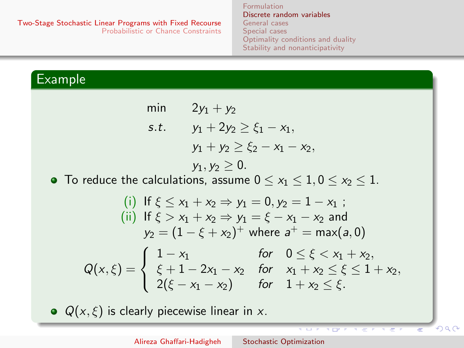[Formulation](#page-2-0) [Discrete random variables](#page-4-0) [General cases](#page-13-0) [Special cases](#page-26-0) [Optimality conditions and duality](#page-31-0) [Stability and nonanticipativity](#page-41-0)

# Example

min 
$$
2y_1 + y_2
$$
  
\ns.t.  $y_1 + 2y_2 \ge \xi_1 - x_1$ ,  
\n $y_1 + y_2 \ge \xi_2 - x_1 - x_2$ ,  
\n $y_1, y_2 \ge 0$ .

• To reduce the calculations, assume  $0 \le x_1 \le 1, 0 \le x_2 \le 1$ .

(i) If 
$$
\xi \le x_1 + x_2 \Rightarrow y_1 = 0, y_2 = 1 - x_1
$$
;  
\n(ii) If  $\xi > x_1 + x_2 \Rightarrow y_1 = \xi - x_1 - x_2$  and  
\n $y_2 = (1 - \xi + x_2)^+$  where  $a^+ = \max(a, 0)$   
\n $Q(x, \xi) = \begin{cases} 1 - x_1 & \text{for } 0 \le \xi < x_1 + x_2, \\ \xi + 1 - 2x_1 - x_2 & \text{for } x_1 + x_2 \le \xi \le 1 + x_2, \\ 2(\xi - x_1 - x_2) & \text{for } 1 + x_2 \le \xi. \end{cases}$ 

 $Q(x, \xi)$  is clearly piecewise linear in x.

 $200$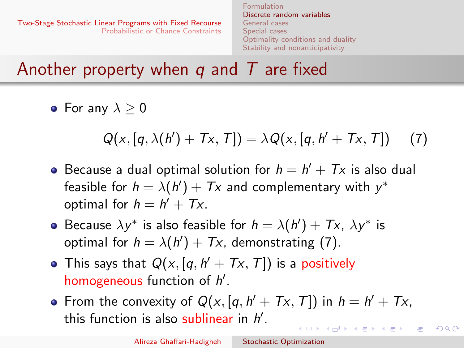<span id="page-12-0"></span>[Two-Stage Stochastic Linear Programs with Fixed Recourse](#page-2-0) [Probabilistic or Chance Constraints](#page-45-0) [Discrete random variables](#page-4-0) [General cases](#page-13-0) [Special cases](#page-26-0) [Optimality conditions and duality](#page-31-0) [Stability and nonanticipativity](#page-41-0)

Another property when q and  $T$  are fixed

• For any  $\lambda > 0$ 

<span id="page-12-1"></span>
$$
Q(x,[q,\lambda(h')+Tx,T])=\lambda Q(x,[q,h'+Tx,T])
$$
 (7)

[Formulation](#page-2-0)

- Because a dual optimal solution for  $h = h' + Tx$  is also dual feasible for  $h = \lambda(h') + Tx$  and complementary with  $y^*$ optimal for  $h = h' + Tx$ .
- Because  $\lambda y^*$  is also feasible for  $h = \lambda(h') + Tx$ ,  $\lambda y^*$  is optimal for  $h = \lambda(h') + Tx$ , demonstrating [\(7\)](#page-12-1).
- This says that  $Q(x,[q,h'+Tx,T])$  is a positively homogeneous function of  $h'$ .
- From the convexity of  $Q(x,[q, h' + Tx, T])$  in  $h = h' + Tx$ , this function is also sublinear in  $h'$ .  $\left\{ \begin{array}{ccc} \square & \rightarrow & \left\{ \bigoplus \bullet & \leftarrow \Xi \right\} & \rightarrow & \left\{ \begin{array}{ccc} \Xi & \rightarrow & \leftarrow \end{array} \right. \end{array} \right.$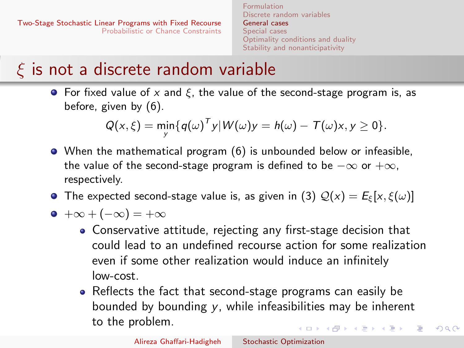[Formulation](#page-2-0) [Discrete random variables](#page-4-0) [General cases](#page-13-0) [Special cases](#page-26-0) [Optimality conditions and duality](#page-31-0) [Stability and nonanticipativity](#page-41-0)

# <span id="page-13-0"></span> $\xi$  is not a discrete random variable

• For fixed value of x and  $\xi$ , the value of the second-stage program is, as before, given by [\(6\)](#page-7-1).

$$
Q(x,\xi)=\min_{y}\{q(\omega)^{T}y|W(\omega)y=h(\omega)-T(\omega)x,y\geq 0\}.
$$

- When the mathematical program [\(6\)](#page-7-1) is unbounded below or infeasible, the value of the second-stage program is defined to be  $-\infty$  or  $+\infty$ , respectively.
- **•** The expected second-stage value is, as given in [\(3\)](#page-3-1)  $Q(x) = E_{\xi}[x, \xi(\omega)]$

$$
\bullet\ +\infty +(-\infty)=+\infty
$$

- Conservative attitude, rejecting any first-stage decision that could lead to an undefined recourse action for some realization even if some other realization would induce an infinitely low-cost.
- Reflects the fact that second-stage programs can easily be bounded by bounding y, while infeasibilities may be inherent to the problem. イロメ イ押メ イヨメ イヨメー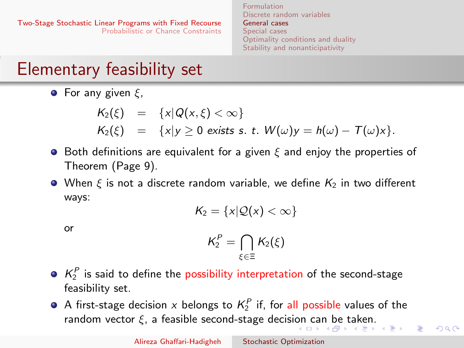[Formulation](#page-2-0) [Discrete random variables](#page-4-0) [General cases](#page-13-0) [Special cases](#page-26-0) [Optimality conditions and duality](#page-31-0) [Stability and nonanticipativity](#page-41-0)

# <span id="page-14-0"></span>Elementary feasibility set

**•** For any given  $\xi$ ,

$$
K_2(\xi) = \{x | Q(x, \xi) < \infty\}
$$
  
\n
$$
K_2(\xi) = \{x | y \ge 0 \text{ exists s. t. } W(\omega)y = h(\omega) - T(\omega)x\}.
$$

- $\bullet$  Both definitions are equivalent for a given  $\xi$  and enjoy the properties of Theorem (Page 9).
- When  $\xi$  is not a discrete random variable, we define  $K_2$  in two different ways:

$$
K_2=\{x|\mathcal{Q}(x)<\infty\}
$$

or

$$
\mathsf{K}_2^\mathsf{P} = \bigcap_{\xi \in \Xi} \mathsf{K}_2(\xi)
$$

- $K_2^P$  is said to define the possibility interpretation of the second-stage feasibility set.
- A first-stage decision  $x$  belongs to  $\mathsf{K}_2^\mathsf{P}$  if, for all possible values of the ra[n](#page-13-0)dom vector  $\xi$ , a feasible sec[on](#page-13-0)d-stage decision [ca](#page-15-0)n [be](#page-14-0) [t](#page-15-0)[a](#page-12-0)[k](#page-13-0)[en](#page-25-0)[.](#page-26-0)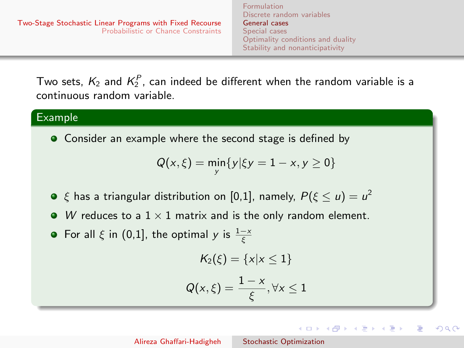イロト イ押ト イヨト イヨト

 $\Omega$ 

<span id="page-15-0"></span>Two sets,  $K_2$  and  $K_2^P$ , can indeed be different when the random variable is a continuous random variable.

### Example

• Consider an example where the second stage is defined by

$$
Q(x,\xi)=\min_{y}\{y|\xi y=1-x,y\geq 0\}
$$

- $\xi$  has a triangular distribution on [0,1], namely,  $P(\xi \leq u) = u^2$
- W reduces to a  $1 \times 1$  matrix and is the only random element.
- For all  $\xi$  in (0,1], the optimal y is  $\frac{1-x}{\xi}$

$$
K_2(\xi) = \{x | x \le 1\}
$$
  
 
$$
Q(x,\xi) = \frac{1-x}{\xi}, \forall x \le 1
$$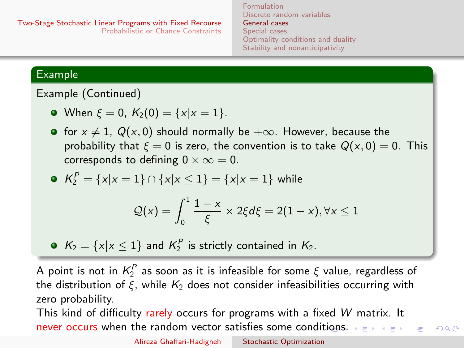[Formulation](#page-2-0) [Discrete random variables](#page-4-0) [General cases](#page-13-0) [Special cases](#page-26-0) [Optimality conditions and duality](#page-31-0) [Stability and nonanticipativity](#page-41-0)

### <span id="page-16-0"></span>Example

Example (Continued)

• When 
$$
\xi = 0
$$
,  $K_2(0) = \{x | x = 1\}$ .

**•** for  $x \neq 1$ ,  $Q(x, 0)$  should normally be  $+\infty$ . However, because the probability that  $\xi = 0$  is zero, the convention is to take  $Q(x, 0) = 0$ . This corresponds to defining  $0 \times \infty = 0$ .

• 
$$
K_2^P = \{x | x = 1\} \cap \{x | x \le 1\} = \{x | x = 1\}
$$
 while

$$
Q(x) = \int_0^1 \frac{1-x}{\xi} \times 2\xi d\xi = 2(1-x), \forall x \le 1
$$

 $K_2 = \{x | x \leq 1\}$  and  $K_2^P$  is strictly contained in  $K_2$ .

A point is not in  $\mathcal{K}^P_2$  as soon as it is infeasible for some  $\xi$  value, regardless of the distribution of  $\xi$ , while  $K_2$  does not consider infeasibilities occurring with zero probability.

This kind of difficulty rarely occurs for programs with a fixed W matrix. It never occurs when the random vector satisfies some [co](#page-15-0)n[di](#page-17-0)[ti](#page-15-0)[on](#page-16-0)[s.](#page-17-0)  $\longleftrightarrow$  $\Omega$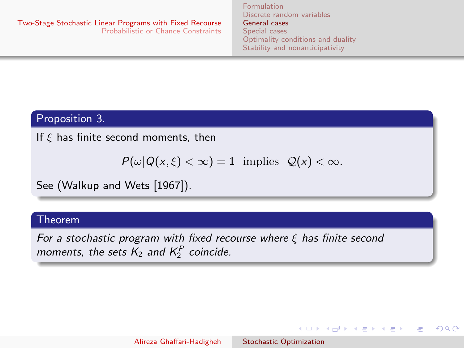イロメ イ何メ イヨメ イヨメ

 $\Omega$ 

### <span id="page-17-0"></span>Proposition 3.

If  $\xi$  has finite second moments, then

$$
P(\omega|Q(x,\xi)<\infty)=1 \text{ implies } Q(x)<\infty.
$$

See (Walkup and Wets [1967]).

#### Theorem

For a stochastic program with fixed recourse where  $\xi$  has finite second moments, the sets  $K_2$  and  $K_2^P$  coincide.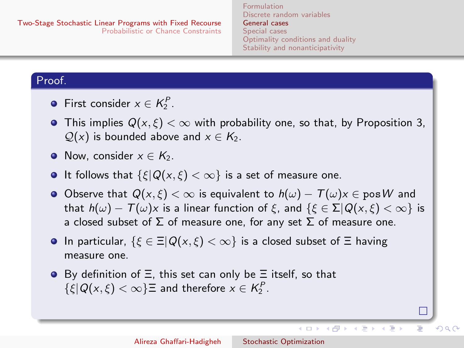[Formulation](#page-2-0) [Discrete random variables](#page-4-0) [General cases](#page-13-0) [Special cases](#page-26-0) [Optimality conditions and duality](#page-31-0) [Stability and nonanticipativity](#page-41-0)

### Proof.

- First consider  $x \in K_2^P$ .
- This implies  $Q(x, \xi) < \infty$  with probability one, so that, by Proposition 3,  $Q(x)$  is bounded above and  $x \in K_2$ .
- Now, consider  $x \in K_2$ .
- It follows that  $\{\xi | Q(x, \xi) < \infty\}$  is a set of measure one.
- Observe that  $Q(x, \xi) < \infty$  is equivalent to  $h(\omega) T(\omega)x \in \text{pos }W$  and that  $h(\omega) - T(\omega)x$  is a linear function of  $\xi$ , and  $\{\xi \in \Sigma | Q(x, \xi) < \infty\}$  is a closed subset of  $\Sigma$  of measure one, for any set  $\Sigma$  of measure one.
- **In particular,**  $\{\xi \in \Xi | Q(x, \xi) < \infty\}$  is a closed subset of  $\Xi$  having measure one.
- $\bullet$  By definition of  $\Xi$ , this set can only be  $\Xi$  itself, so that  $\{\xi | Q(x,\xi) < \infty\} \equiv$  and therefore  $x \in K_2^P$ .

イロト イ伊 トイヨ トイヨト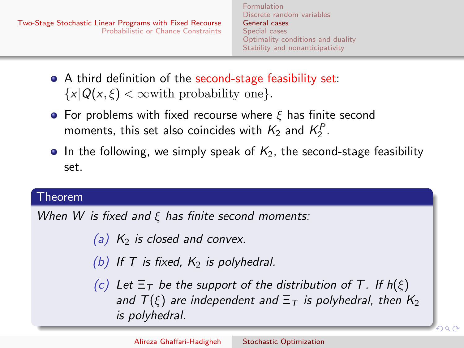- A third definition of the second-stage feasibility set:  $\{x|Q(x,\xi) < \infty$  with probability one.
- **•** For problems with fixed recourse where  $\xi$  has finite second moments, this set also coincides with  $K_2$  and  $K_2^P$ .
- In the following, we simply speak of  $K<sub>2</sub>$ , the second-stage feasibility set.

[Formulation](#page-2-0)

### Theorem

When W is fixed and  $\xi$  has finite second moments:

(a)  $K_2$  is closed and convex.

(b) If T is fixed,  $K_2$  is polyhedral.

(c) Let  $\Xi$ <sub>T</sub> be the support of the distribution of T. If  $h(\xi)$ and  $T(\xi)$  are independent and  $\Xi_T$  is polyhedral, then  $K_2$ is polyhedral.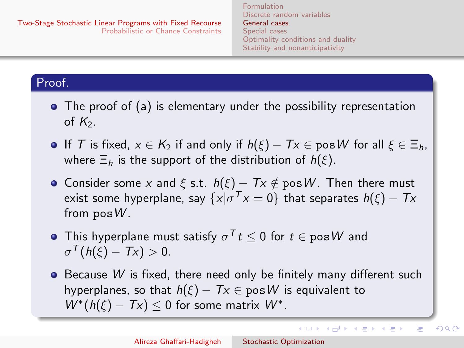[Formulation](#page-2-0) [Discrete random variables](#page-4-0) [General cases](#page-13-0) [Special cases](#page-26-0) [Optimality conditions and duality](#page-31-0) [Stability and nonanticipativity](#page-41-0)

イロン イ何ン イヨン イヨン

E

 $QQ$ 

### Proof.

- The proof of (a) is elementary under the possibility representation of  $K_2$ .
- **If** T is fixed,  $x \in K_2$  if and only if  $h(\xi) Tx \in \text{pos } W$  for all  $\xi \in \Xi_h$ , where  $\Xi_h$  is the support of the distribution of  $h(\xi)$ .
- Consider some x and  $\xi$  s.t.  $h(\xi) Tx \notin \text{pos } W$ . Then there must exist some hyperplane, say  $\{ x | \sigma^T x = 0 \}$  that separates  $h(\xi) - T x$ from  $posW$ .
- This hyperplane must satisfy  $\sigma^{\mathcal{T}} t \leq 0$  for  $t \in \mathsf{pos}\, \mathcal{W}$  and  $\sigma^{\mathcal{T}}(h(\xi)-T\mathsf{x})>0.$
- $\bullet$  Because W is fixed, there need only be finitely many different such hyperplanes, so that  $h(\xi) - Tx \in \text{pos } W$  is equivalent to  $W^*(h(\xi) - Tx) \leq 0$  for some matrix  $W^*$ .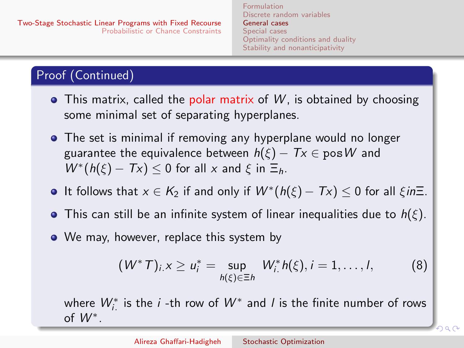# Proof (Continued)

- $\bullet$  This matrix, called the polar matrix of W, is obtained by choosing some minimal set of separating hyperplanes.
- The set is minimal if removing any hyperplane would no longer guarantee the equivalence between  $h(\xi) - Tx \in \text{pos } W$  and  $W^*(h(\xi) - Tx) \leq 0$  for all x and  $\xi$  in  $\Xi_h$ .
- It follows that  $x \in K_2$  if and only if  $W^*(h(\xi) Tx) \leq 0$  for all  $\xi in \Xi$ .
- **•** This can still be an infinite system of linear inequalities due to  $h(\xi)$ .
- We may, however, replace this system by

<span id="page-21-0"></span>
$$
(W^*T)_{i,X} \ge u_i^* = \sup_{h(\xi) \in \Xi h} W_i^* h(\xi), i = 1, ..., l,
$$
 (8)

where  $W_{i.}^*$  is the  $i$  -th row of  $W^*$  and  $I$  is the finite number of rows of  $W^*$ .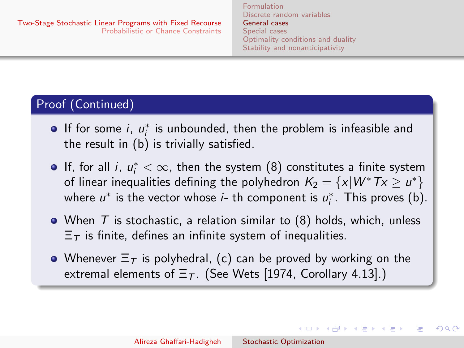イロメ イ部メ イ君メ イ君メー

つくへ

# Proof (Continued)

- If for some  $i, u^*_{i}$  is unbounded, then the problem is infeasible and the result in (b) is trivially satisfied.
- If, for all i,  $u_i^* < \infty$ , then the system [\(8\)](#page-21-0) constitutes a finite system of linear inequalities defining the polyhedron  $\mathcal{K}_2 = \{x | W^* T x \geq u^*\}$ where  $u^*$  is the vector whose *i*- th component is  $u_i^*$ . This proves (b).
- When  $T$  is stochastic, a relation similar to  $(8)$  holds, which, unless  $\Xi$ <sub>T</sub> is finite, defines an infinite system of inequalities.
- Whenever  $\Xi$ <sub>T</sub> is polyhedral, (c) can be proved by working on the extremal elements of  $\Xi$ <sub>T</sub>. (See Wets [1974, Corollary 4.13].)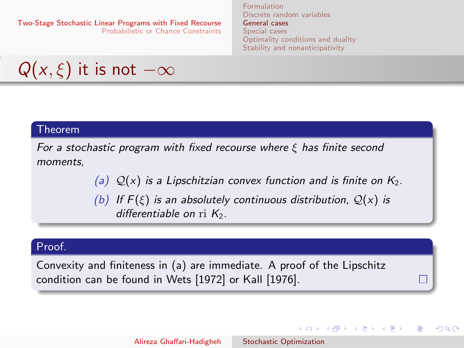[Formulation](#page-2-0) [Discrete random variables](#page-4-0) [General cases](#page-13-0) [Special cases](#page-26-0) [Optimality conditions and duality](#page-31-0) [Stability and nonanticipativity](#page-41-0)

 $\left\{ \begin{array}{ccc} 1 & 0 & 0 \\ 0 & 1 & 0 \end{array} \right.$ 

 $200$ 

$$
Q(x,\xi)
$$
 it is not  $-\infty$ 

#### Theorem

For a stochastic program with fixed recourse where  $\xi$  has finite second moments,

(a)  $Q(x)$  is a Lipschitzian convex function and is finite on  $K_2$ .

(b) If  $F(\xi)$  is an absolutely continuous distribution,  $Q(x)$  is differentiable on  $ri$   $K_2$ .

#### Proof.

Convexity and finiteness in (a) are immediate. A proof of the Lipschitz condition can be found in Wets [1972] or Kall [1976].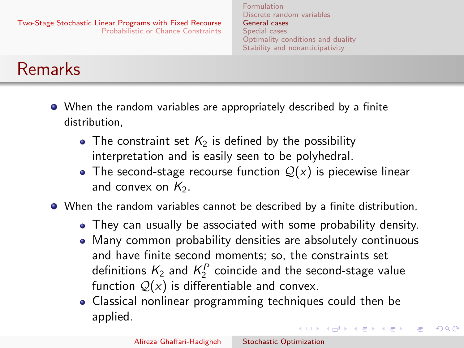[Formulation](#page-2-0) [Discrete random variables](#page-4-0) [General cases](#page-13-0) [Special cases](#page-26-0) [Optimality conditions and duality](#page-31-0) [Stability and nonanticipativity](#page-41-0)

# Remarks

- When the random variables are appropriately described by a finite distribution,
	- The constraint set  $K_2$  is defined by the possibility interpretation and is easily seen to be polyhedral.
	- The second-stage recourse function  $Q(x)$  is piecewise linear and convex on  $K_2$ .
- When the random variables cannot be described by a finite distribution,
	- They can usually be associated with some probability density.
	- Many common probability densities are absolutely continuous and have finite second moments; so, the constraints set definitions  $K_2$  and  $K_2^P$  coincide and the second-stage value function  $Q(x)$  is differentiable and convex.
	- Classical nonlinear programming techniques could then be applied.

イロメ イ押メ イヨメ イヨメー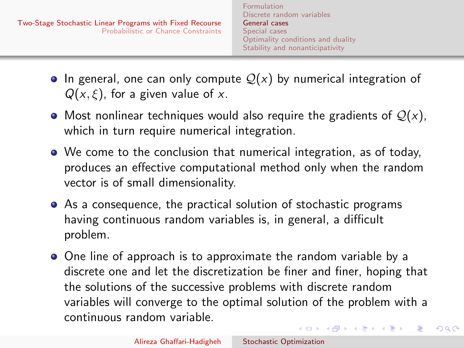- <span id="page-25-0"></span>• In general, one can only compute  $\mathcal{Q}(x)$  by numerical integration of  $Q(x, \xi)$ , for a given value of x.
- Most nonlinear techniques would also require the gradients of  $Q(x)$ , which in turn require numerical integration.
- We come to the conclusion that numerical integration, as of today, produces an effective computational method only when the random vector is of small dimensionality.
- As a consequence, the practical solution of stochastic programs having continuous random variables is, in general, a difficult problem.
- One line of approach is to approximate the random variable by a discrete one and let the discretization be finer and finer, hoping that the solutions of the successive problems with discrete random variables will converge to the optimal solution of the problem with a continuous random variable. イロメ イ母メ イヨメ イヨメー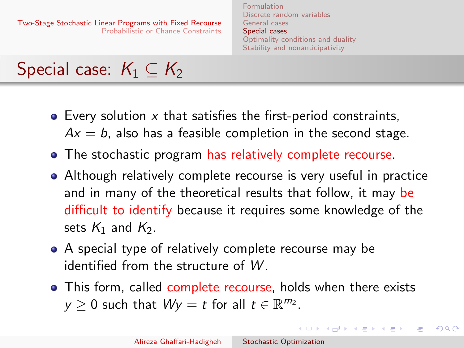[Formulation](#page-2-0) [Discrete random variables](#page-4-0) [General cases](#page-13-0) [Special cases](#page-26-0) [Optimality conditions and duality](#page-31-0) [Stability and nonanticipativity](#page-41-0)

イロメ イ母メ イヨメ イヨメー

 $200$ 

# <span id="page-26-0"></span>Special case:  $K_1 \subset K_2$

- $\bullet$  Every solution  $x$  that satisfies the first-period constraints,
	- $Ax = b$ , also has a feasible completion in the second stage.
- The stochastic program has relatively complete recourse.
- Although relatively complete recourse is very useful in practice and in many of the theoretical results that follow, it may be difficult to identify because it requires some knowledge of the sets  $K_1$  and  $K_2$ .
- A special type of relatively complete recourse may be identified from the structure of W .
- This form, called complete recourse, holds when there exists  $y \ge 0$  such that  $Wy = t$  for all  $t \in \mathbb{R}^{m_2}$ .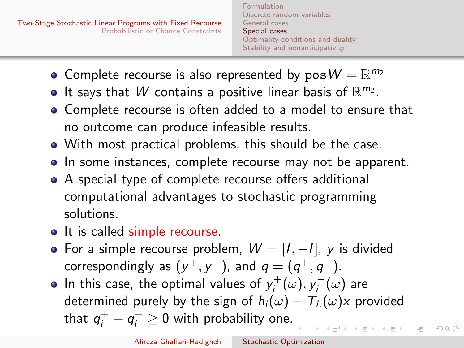[Formulation](#page-2-0) [Discrete random variables](#page-4-0) [General cases](#page-13-0) [Special cases](#page-26-0) [Optimality conditions and duality](#page-31-0) [Stability and nonanticipativity](#page-41-0)

- Complete recourse is also represented by  $pos W = \mathbb{R}^{m_2}$
- It says that W contains a positive linear basis of  $\mathbb{R}^{m_2}$ .
- Complete recourse is often added to a model to ensure that no outcome can produce infeasible results.
- With most practical problems, this should be the case.
- In some instances, complete recourse may not be apparent.
- A special type of complete recourse offers additional computational advantages to stochastic programming solutions.
- It is called simple recourse.
- For a simple recourse problem,  $W = [I, -I]$ , y is divided correspondingly as  $(y^+, y^-)$ , and  $q = (q^+, q^-)$ .
- In this case, the optimal values of  $y_i^+$  $y_i^+(\omega), y_i^ \bar{\gamma}^{\scriptscriptstyle{-}}_{i}(\omega)$  are determined purely by the sign of  $h_i(\omega) - T_{i}(\omega)x$  provided that  $q^+_i + q^-_i \geq 0$  with probability one.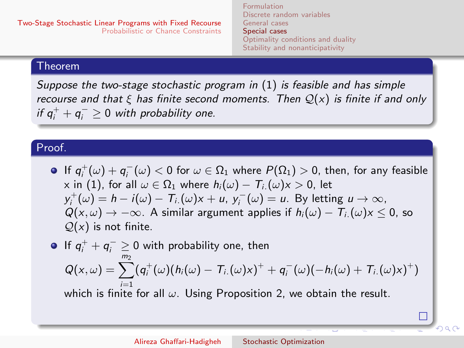[Formulation](#page-2-0) [Discrete random variables](#page-4-0) [General cases](#page-13-0) [Special cases](#page-26-0) [Optimality conditions and duality](#page-31-0) [Stability and nonanticipativity](#page-41-0)

#### Theorem

Suppose the two-stage stochastic program in [\(1\)](#page-2-1) is feasible and has simple recourse and that  $\xi$  has finite second moments. Then  $\mathcal{Q}(x)$  is finite if and only if  $q_i^+ + q_i^- \geq 0$  with probability one.

### Proof.

If  $q_i^+(\omega)+q_i^-(\omega) < 0$  for  $\omega \in \Omega_1$  where  $P(\Omega_1) > 0$ , then, for any feasible x in [\(1\)](#page-2-1), for all  $\omega \in \Omega_1$  where  $h_i(\omega) - T_i(\omega)x > 0$ , let  $y_i^+(\omega) = h - i(\omega) - T_i(\omega)x + u$ ,  $y_i^-(\omega) = u$ . By letting  $u \to \infty$ ,  $Q(x, \omega) \rightarrow -\infty$ . A similar argument applies if  $h_i(\omega) - T_i(\omega)x \leq 0$ , so  $Q(x)$  is not finite.

If  $q_i^+ + q_i^- \ge 0$  with probability one, then  $Q(x,\omega)=\sum^{m_2}(q^+_i(\omega)(h_i(\omega)-T_{i.}(\omega)x)^++q^-_i(\omega)(-h_i(\omega)+T_{i.}(\omega)x)^+)$ which is finite for all  $\omega$ . Using Proposition 2, we obtain the result.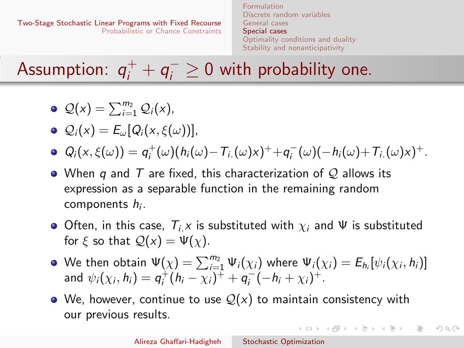[Formulation](#page-2-0) [Discrete random variables](#page-4-0) [General cases](#page-13-0) [Special cases](#page-26-0) [Optimality conditions and duality](#page-31-0) [Stability and nonanticipativity](#page-41-0)

Assumption:  $q^+_i + q^-_i \geq 0$  with probability one.

- $\mathcal{Q}(x) = \sum_{i=1}^{m_2} \mathcal{Q}_i(x),$
- $\mathcal{Q}_i(x) = E_{\omega}[Q_i(x, \xi(\omega))],$
- $Q_i(x,\xi(\omega)) = q_i^+(\omega)(h_i(\omega) T_{i.}(\omega)x)^+ + q_i^-(\omega)(-h_i(\omega) + T_{i.}(\omega)x)^+$ .
- When q and T are fixed, this characterization of Q allows its expression as a separable function in the remaining random components h<sub>i</sub>.
- Often, in this case,  $T_i \times$  is substituted with  $\chi_i$  and  $\Psi$  is substituted for  $\xi$  so that  $Q(x) = \Psi(x)$ .
- We then obtain  $\Psi(\chi)=\sum_{i=1}^{m_2}\Psi_i(\chi_i)$  where  $\Psi_i(\chi_i)=E_{h_i}[\psi_i(\chi_i,h_i)]$ and  $\psi_i(\chi_i, h_i) = q_i^+(h_i - \chi_i)^+ + q_i^-(-h_i + \chi_i)^+.$
- We, however, continue to use  $\mathcal{Q}(x)$  to maintain consistency with our previous results.

 $200$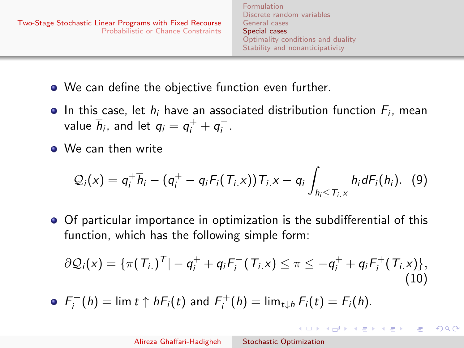- We can define the objective function even further.
- In this case, let  $h_i$  have an associated distribution function  $F_i$ , mean value  $\overline{h}_i$ , and let  $q_i = q_i^+ + q_i^-$ .
- We can then write

$$
Q_i(x) = q_i^+ \overline{h}_i - (q_i^+ - q_i F_i(T_i, x)) T_{i, x} - q_i \int_{h_i \leq T_{i, x}} h_i dF_i(h_i). \tag{9}
$$

Of particular importance in optimization is the subdifferential of this function, which has the following simple form:

$$
\partial \mathcal{Q}_i(x) = \{\pi(T_{i.})^T | -q_i^+ + q_i F_i^-(T_{i.}x) \leq \pi \leq -q_i^+ + q_i F_i^+(T_{i.}x)\},\tag{10}
$$

 $F_i^-(h) = \lim t \uparrow h F_i(t)$  and  $F_i^+(h) = \lim_{t \downarrow h} F_i(t) = F_i(h)$ .

 $\left\{ \begin{array}{ccc} 1 & 0 & 0 \\ 0 & 1 & 0 \end{array} \right.$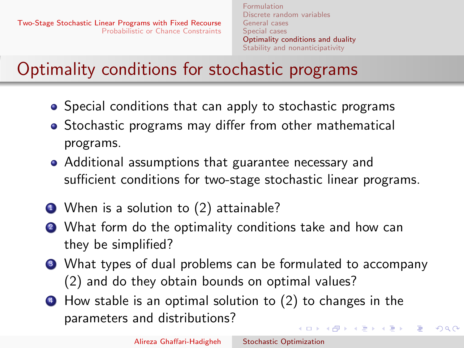# <span id="page-31-0"></span>Optimality conditions for stochastic programs

- Special conditions that can apply to stochastic programs
- Stochastic programs may differ from other mathematical programs.
- Additional assumptions that guarantee necessary and sufficient conditions for two-stage stochastic linear programs.
- $\bullet$  When is a solution to [\(2\)](#page-3-2) attainable?
- <sup>2</sup> What form do the optimality conditions take and how can they be simplified?
- <sup>3</sup> What types of dual problems can be formulated to accompany [\(2\)](#page-3-2) and do they obtain bounds on optimal values?
- <sup>4</sup> How stable is an optimal solution to [\(2\)](#page-3-2) to changes in the parameters and distributions?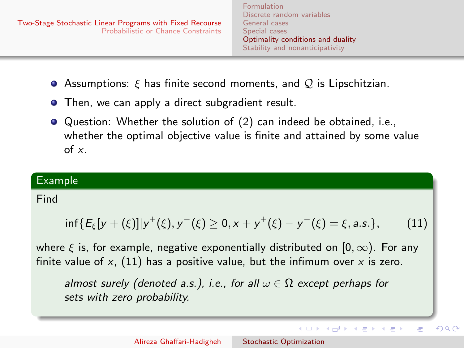イロメ イ何メ イヨメ イヨメ

E

 $QQ$ 

- **•** Assumptions:  $\xi$  has finite second moments, and  $Q$  is Lipschitzian.
- **•** Then, we can apply a direct subgradient result.
- Question: Whether the solution of [\(2\)](#page-3-2) can indeed be obtained, i.e., whether the optimal objective value is finite and attained by some value of x.

## Example

### Find

<span id="page-32-0"></span>
$$
\inf\{E_{\xi}[y+(\xi)]|y^{+}(\xi),y^{-}(\xi)\geq 0,x+y^{+}(\xi)-y^{-}(\xi)=\xi,a.s.\},\qquad(11)
$$

where  $\xi$  is, for example, negative exponentially distributed on [0,  $\infty$ ). For any finite value of  $x$ , [\(11\)](#page-32-0) has a positive value, but the infimum over  $x$  is zero.

almost surely (denoted a.s.), i.e., for all  $\omega \in \Omega$  except perhaps for sets with zero probability.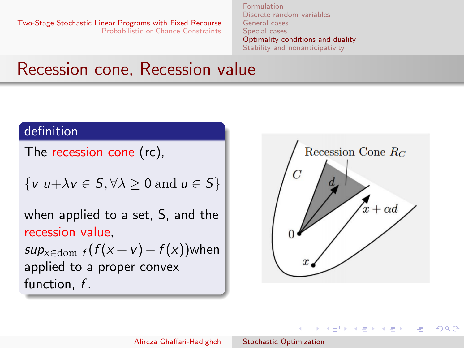[Formulation](#page-2-0) [Discrete random variables](#page-4-0) [General cases](#page-13-0) [Special cases](#page-26-0) [Optimality conditions and duality](#page-31-0) [Stability and nonanticipativity](#page-41-0)

# Recession cone, Recession value

### definition

The recession cone (rc),

$$
\{v|u+\lambda v\in S,\forall \lambda\geq 0\text{ and }u\in S\}
$$

when applied to a set, S, and the recession value,

 $sup_{x \in \text{dom } f}(f(x + v) - f(x))$ when applied to a proper convex function, f.



イロメ イ何 メ イヨメ イヨメー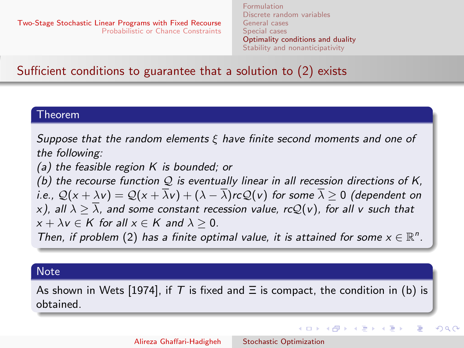メロメ メ母メ メミメ メミメ

つくへ

# Sufficient conditions to guarantee that a solution to [\(2\)](#page-3-2) exists

#### Theorem

Suppose that the random elements  $\xi$  have finite second moments and one of the following:

(a) the feasible region  $K$  is bounded; or

(b) the recourse function  $Q$  is eventually linear in all recession directions of K, i.e.,  $\mathcal{Q}(x + \lambda v) = \mathcal{Q}(x + \overline{\lambda}v) + (\lambda - \overline{\lambda})rc\mathcal{Q}(v)$  for some  $\overline{\lambda} > 0$  (dependent on x), all  $\lambda > \overline{\lambda}$ , and some constant recession value, rcQ(v), for all v such that  $x + \lambda y \in K$  for all  $x \in K$  and  $\lambda > 0$ .

Then, if problem [\(2\)](#page-3-2) has a finite optimal value, it is attained for some  $x \in \mathbb{R}^n$ .

### **Note**

As shown in Wets [1974], if T is fixed and  $\Xi$  is compact, the condition in (b) is obtained.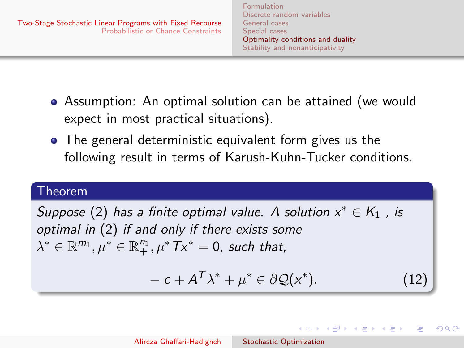[Formulation](#page-2-0) [Discrete random variables](#page-4-0) [General cases](#page-13-0) [Special cases](#page-26-0) [Optimality conditions and duality](#page-31-0) [Stability and nonanticipativity](#page-41-0)

- Assumption: An optimal solution can be attained (we would expect in most practical situations).
- The general deterministic equivalent form gives us the following result in terms of Karush-Kuhn-Tucker conditions.

## Theorem

Suppose [\(2\)](#page-3-2) has a finite optimal value. A solution  $x^* \in K_1$  , is optimal in [\(2\)](#page-3-2) if and only if there exists some  $\lambda^*\in \mathbb{R}^{m_1}, \mu^*\in \mathbb{R}^{n_1}_+, \mu^*Tx^*=0$ , such that,

<span id="page-35-0"></span>
$$
-c + A^T \lambda^* + \mu^* \in \partial \mathcal{Q}(x^*). \tag{12}
$$

イロン イ何ン イヨン イヨン

つくへ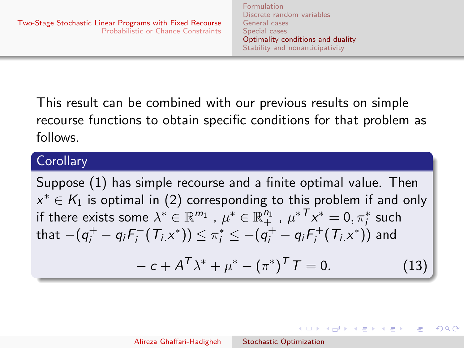This result can be combined with our previous results on simple recourse functions to obtain specific conditions for that problem as follows.

## **Corollary**

Suppose [\(1\)](#page-2-1) has simple recourse and a finite optimal value. Then  $x^*\in\mathcal{K}_1$  is optimal in [\(2\)](#page-3-2) corresponding to this problem if and only if there exists some  $\lambda^*\in \mathbb{R}^{m_1}$  ,  $\mu^*\in \mathbb{R}^{n_1}_+$  ,  ${\mu^*}^\mathcal{T} x^*_+=0, \pi_i^*$  such that  $-(q^+_i - q_i F^-_i)$  $\pi_i^-(T_i x^*)) \leq \pi_i^* \leq -(q_i^+ - q_i F_i^+)$  $\mathcal{I}_i^+\!\left(\,\mathcal{T}_{i\mathcal{.}}\vphantom{.}\right)$  and

$$
- c + A^T \lambda^* + \mu^* - (\pi^*)^T T = 0.
$$
 (13)

イロメ イ何メ イヨメ イヨメ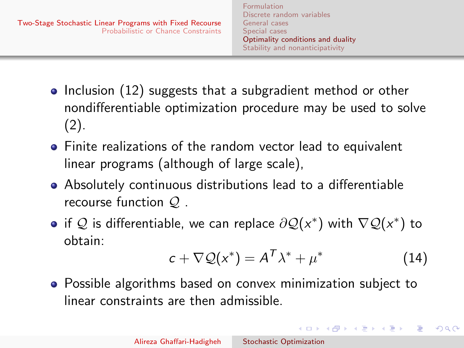- $\bullet$  Inclusion [\(12\)](#page-35-0) suggests that a subgradient method or other nondifferentiable optimization procedure may be used to solve [\(2\)](#page-3-2).
- Finite realizations of the random vector lead to equivalent linear programs (although of large scale),
- Absolutely continuous distributions lead to a differentiable recourse function Q .
- if  $\mathcal Q$  is differentiable, we can replace  $\partial \mathcal Q(x^*)$  with  $\nabla \mathcal Q(x^*)$  to obtain:

$$
c + \nabla \mathcal{Q}(x^*) = A^T \lambda^* + \mu^* \tag{14}
$$

 $\Omega$ 

Possible algorithms based on convex minimization subject to linear constraints are then admissible.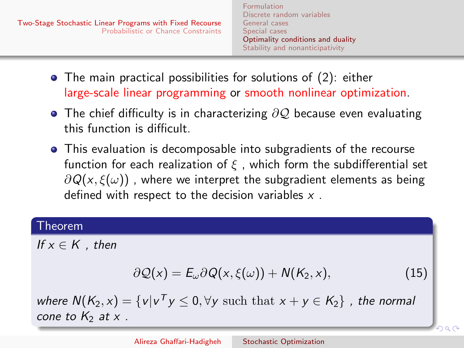- The main practical possibilities for solutions of [\(2\)](#page-3-2): either large-scale linear programming or smooth nonlinear optimization.
- $\bullet$  The chief difficulty is in characterizing  $\partial \mathcal{Q}$  because even evaluating this function is difficult.
- This evaluation is decomposable into subgradients of the recourse function for each realization of  $\xi$ , which form the subdifferential set  $\partial Q(x,\xi(\omega))$ , where we interpret the subgradient elements as being defined with respect to the decision variables  $x$ .

### Theorem

If  $x \in K$  , then

$$
\partial \mathcal{Q}(x) = E_{\omega} \partial Q(x, \xi(\omega)) + N(K_2, x), \qquad (15)
$$

where  $N(K_2, x) = \{v | v^T y \le 0, \forall y \text{ such that } x + y \in K_2\}$  , the normal cone to  $K_2$  at x.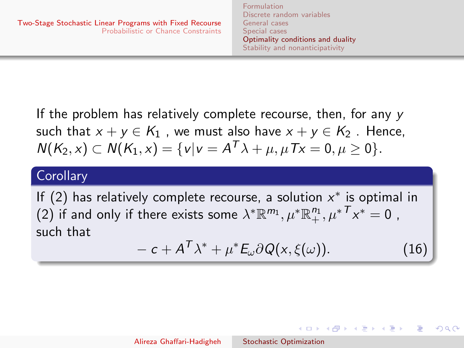If the problem has relatively complete recourse, then, for any y such that  $x + y \in K_1$ , we must also have  $x + y \in K_2$ . Hence,  $N(K_2, x) \subset N(K_1, x) = \{v | v = A^T \lambda + \mu, \mu Tx = 0, \mu \ge 0\}.$ 

## **Corollary**

If [\(2\)](#page-3-2) has relatively complete recourse, a solution  $x^*$  is optimal in [\(2\)](#page-3-2) if and only if there exists some  $\lambda^* \mathbb{R}^{m_1}, \mu^* \mathbb{R}^{n_1}_+, \mu^* \mathcal{T}_X^* = 0$  , such that

$$
-c + A^T \lambda^* + \mu^* E_\omega \partial Q(x, \xi(\omega)). \tag{16}
$$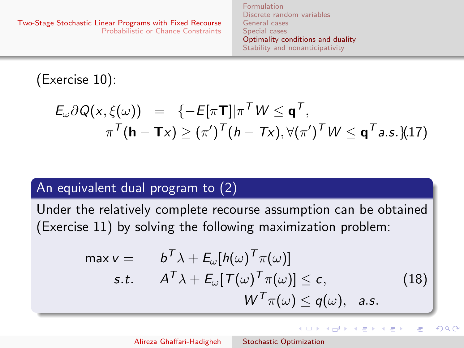[Formulation](#page-2-0) [Discrete random variables](#page-4-0) [General cases](#page-13-0) [Special cases](#page-26-0) [Optimality conditions and duality](#page-31-0) [Stability and nonanticipativity](#page-41-0)

(Exercise 10):

$$
E_{\omega} \partial Q(x, \xi(\omega)) = \{-E[\pi \mathbf{T}] | \pi^T W \leq \mathbf{q}^T, \pi^T(\mathbf{h} - \mathbf{T}x) \geq (\pi^{\prime})^T (h - Tx), \forall (\pi^{\prime})^T W \leq \mathbf{q}^T a.s.\}
$$
(17)

## An equivalent dual program to [\(2\)](#page-3-2)

Under the relatively complete recourse assumption can be obtained (Exercise 11) by solving the following maximization problem:

$$
\begin{array}{ll}\n\max v = & b^T \lambda + E_{\omega}[h(\omega)^T \pi(\omega)] \\
\text{s.t.} & A^T \lambda + E_{\omega}[T(\omega)^T \pi(\omega)] \leq c, \\
& W^T \pi(\omega) \leq q(\omega), \quad \text{a.s.}\n\end{array}\n\tag{18}
$$

メロメ メ都 メメ きょ メモメ

 $QQ$ 

э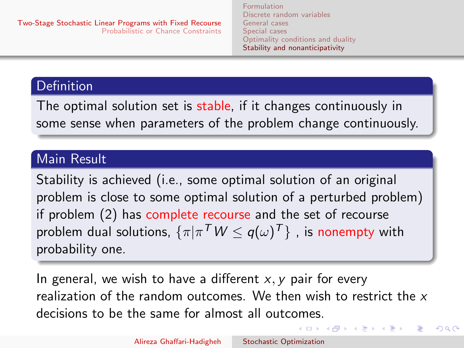[Formulation](#page-2-0) [Discrete random variables](#page-4-0) [General cases](#page-13-0) [Special cases](#page-26-0) [Optimality conditions and duality](#page-31-0) [Stability and nonanticipativity](#page-41-0)

 $\left\{ \begin{array}{ccc} 1 & 0 & 0 \\ 0 & 1 & 0 \end{array} \right.$ 

 $200$ 

## <span id="page-41-0"></span>Definition

The optimal solution set is stable, if it changes continuously in some sense when parameters of the problem change continuously.

## Main Result

Stability is achieved (i.e., some optimal solution of an original problem is close to some optimal solution of a perturbed problem) if problem [\(2\)](#page-3-2) has complete recourse and the set of recourse problem dual solutions,  $\{\pi | \pi^\mathcal{T} W \leq q(\omega)^\mathcal{T}\}$  , is nonempty with probability one.

In general, we wish to have a different  $x, y$  pair for every realization of the random outcomes. We then wish to restrict the  $x$ decisions to be the same for almost all outcomes.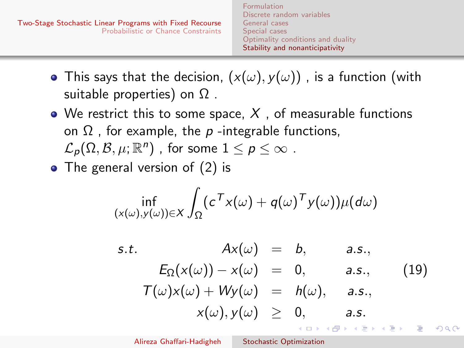<span id="page-42-0"></span>

- This says that the decision,  $(x(\omega), y(\omega))$ , is a function (with suitable properties) on  $\Omega$ .
- We restrict this to some space,  $X$ , of measurable functions on  $\Omega$ , for example, the p-integrable functions,  $\mathcal{L}_p(\Omega,\mathcal{B},\mu;\mathbb{R}^n)$  , for some  $1\leq p\leq\infty$  .
- The general version of [\(2\)](#page-3-2) is

$$
\inf_{(x(\omega),y(\omega))\in X}\int_{\Omega}(c^{\mathsf{T}}x(\omega)+q(\omega)^{\mathsf{T}}y(\omega))\mu(d\omega)
$$

<span id="page-42-1"></span>s.t. 
$$
Ax(\omega) = b
$$
, a.s.,  
\n
$$
E_{\Omega}(x(\omega)) - x(\omega) = 0, \qquad a.s.,
$$
\n
$$
T(\omega)x(\omega) + Wy(\omega) = h(\omega), \qquad a.s.,
$$
\n
$$
x(\omega), y(\omega) \geq 0, \qquad a.s.
$$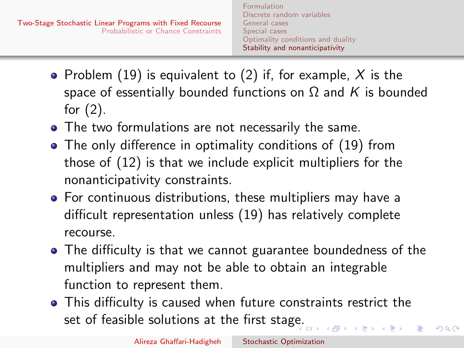- Problem [\(19\)](#page-42-1) is equivalent to [\(2\)](#page-3-2) if, for example,  $X$  is the space of essentially bounded functions on  $\Omega$  and K is bounded for [\(2\)](#page-3-2).
- The two formulations are not necessarily the same.
- The only difference in optimality conditions of [\(19\)](#page-42-1) from those of [\(12\)](#page-35-0) is that we include explicit multipliers for the nonanticipativity constraints.
- For continuous distributions, these multipliers may have a difficult representation unless [\(19\)](#page-42-1) has relatively complete recourse.
- The difficulty is that we cannot guarantee boundedness of the multipliers and may not be able to obtain an integrable function to represent them.
- This difficulty is caused when future constraints restrict the set of feasible solutions at the first stag[e.](#page-42-0)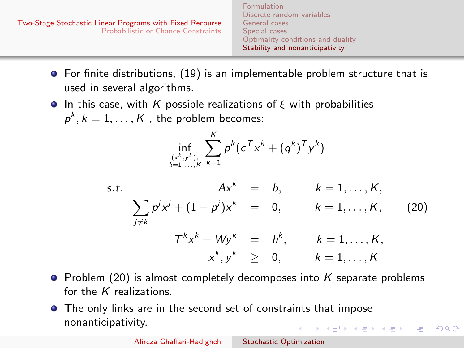<span id="page-44-0"></span>

| Two-Stage Stochastic Linear Programs with Fixed Recourse<br><b>Probabilistic or Chance Constraints</b> | <b>Formulation</b><br>Discrete random variables<br>General cases<br>Special cases<br>Optimality conditions and duality<br>Stability and nonanticipativity |  |
|--------------------------------------------------------------------------------------------------------|-----------------------------------------------------------------------------------------------------------------------------------------------------------|--|
|                                                                                                        |                                                                                                                                                           |  |

- **•** For finite distributions, [\(19\)](#page-42-1) is an implementable problem structure that is used in several algorithms.
- **In this case, with K possible realizations of ξ with probabilities**  $p^k, k = 1, \ldots, K$  , the problem becomes:

$$
\inf_{(x^h, y^k) \atop k=1, ..., k} \sum_{k=1}^K p^k (c^T x^k + (q^k)^T y^k)
$$

s.t. 
$$
Ax^k = b
$$
,  $k = 1,..., K$ ,  
\n
$$
\sum_{j \neq k} p^j x^j + (1 - p^j) x^k = 0, \qquad k = 1,..., K, \qquad (20)
$$
\n
$$
T^k x^k + W y^k = h^k, \qquad k = 1,..., K, \qquad x^k, y^k \ge 0, \qquad k = 1,..., K
$$

- $\bullet$  Problem [\(20\)](#page-44-1) is almost completely decomposes into K separate problems for the  $K$  realizations.
- **•** The only links are in the second set of constraints that impose nonanticipativity. イロト イ団 トイモト イモド

<span id="page-44-1"></span> $2990$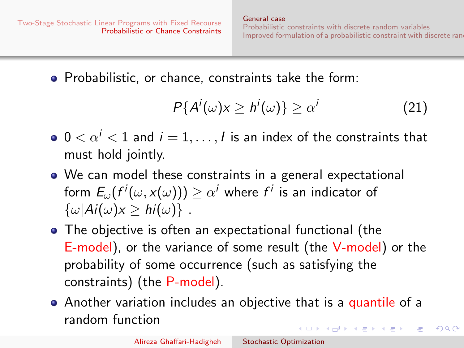$\Omega$ 

<span id="page-45-0"></span>• Probabilistic, or chance, constraints take the form:

$$
P\{A^i(\omega)x \ge h^i(\omega)\} \ge \alpha^i \tag{21}
$$

- $0 < \alpha^{i} < 1$  and  $i = 1, ..., l$  is an index of the constraints that must hold jointly.
- We can model these constraints in a general expectational form  $E_\omega(f^i(\omega, \mathsf{x}(\omega))) \geq \alpha^i$  where  $f^i$  is an indicator of  $\{\omega | Ai(\omega) x \geq hi(\omega)\}\.$
- The objective is often an expectational functional (the E-model), or the variance of some result (the V-model) or the probability of some occurrence (such as satisfying the constraints) (the P-model).
- Another variation includes an objective that is a quantile of a random function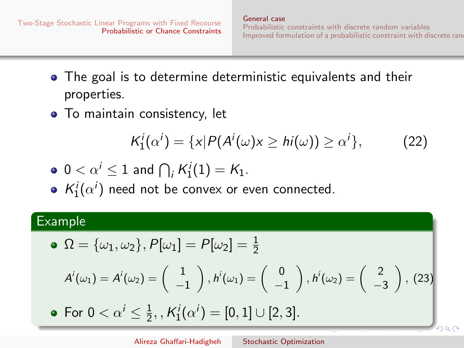$\bigg), (23)$ 

- The goal is to determine deterministic equivalents and their properties.
- To maintain consistency, let

<span id="page-46-0"></span>
$$
K_1^i(\alpha^i) = \{x | P(A^i(\omega)x \ge hi(\omega)) \ge \alpha^i\},\qquad(22)
$$

$$
\bullet \ 0 < \alpha^i \leq 1 \text{ and } \bigcap_i K_1^i(1) = K_1.
$$

 $K_1^i(\alpha^i)$  need not be convex or even connected.

### Example

• 
$$
\Omega = {\omega_1, \omega_2}, P[\omega_1] = P[\omega_2] = \frac{1}{2}
$$
  
\n $A^i(\omega_1) = A^i(\omega_2) = \begin{pmatrix} 1 \\ -1 \end{pmatrix}, h^i(\omega_1) = \begin{pmatrix} 0 \\ -1 \end{pmatrix}, h^i(\omega_2) = \begin{pmatrix} 2 \\ -3 \end{pmatrix}$ 

For  $0 < \alpha^i \leq \frac{1}{2}$  $\frac{1}{2}$ , ,  $\mathcal{K}_{1}^{i}(\alpha^{i}) = [0,1] \cup [2,3].$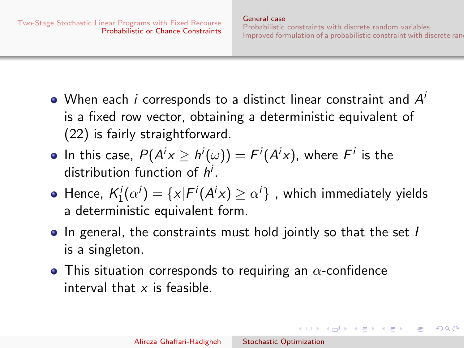$\left\{ \begin{array}{ccc} \square & \rightarrow & \left\{ \bigoplus \right\} & \leftarrow & \left\{ \begin{array}{ccc} \square & \rightarrow & \left\{ \begin{array}{ccc} \square & \rightarrow & \end{array} \right\} \end{array} \right. \end{array} \right.$ 

- When each  $i$  corresponds to a distinct linear constraint and  $A^i$ is a fixed row vector, obtaining a deterministic equivalent of [\(22\)](#page-46-0) is fairly straightforward.
- In this case,  $P(A^i x \geq h^i(\omega)) = F^i(A^i x)$ , where  $F^i$  is the distribution function of  $h^i$ .
- Hence,  $\mathcal{K}_{1}^{i}(\alpha^{i})=\{x|F^{i}(A^{i}x)\geq \alpha^{i}\}$  , which immediately yields a deterministic equivalent form.
- In general, the constraints must hold jointly so that the set I is a singleton.
- This situation corresponds to requiring an  $\alpha$ -confidence interval that x is feasible.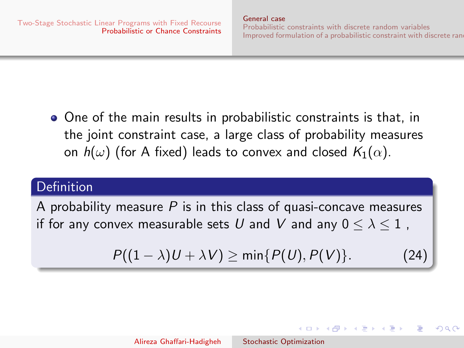イロト イ伊 トイヨ トイヨト

 $\Omega$ 

• One of the main results in probabilistic constraints is that, in the joint constraint case, a large class of probability measures on  $h(\omega)$  (for A fixed) leads to convex and closed  $K_1(\alpha)$ .

# Definition

A probability measure  $P$  is in this class of quasi-concave measures if for any convex measurable sets U and V and any  $0 \leq \lambda \leq 1$ ,

$$
P((1 - \lambda)U + \lambda V) \ge \min\{P(U), P(V)\}.
$$
 (24)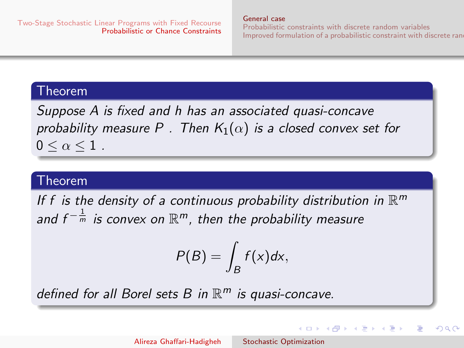[General case](#page-45-0)

[Probabilistic constraints with discrete random variables](#page-55-0) [Improved formulation of a probabilistic constraint with discrete rand](#page-64-0)om

メロメ メ母メ メミメ メミメ

### Theorem

Suppose A is fixed and h has an associated quasi-concave probability measure P. Then  $K_1(\alpha)$  is a closed convex set for  $0 \leq \alpha \leq 1$ .

## Theorem

If f is the density of a continuous probability distribution in  $\mathbb{R}^m$ and  $f^{-\frac{1}{m}}$  is convex on  $\mathbb{R}^m$ , then the probability measure

$$
P(B)=\int_B f(x)dx,
$$

defined for all Borel sets B in  $\mathbb{R}^m$  is quasi-concave.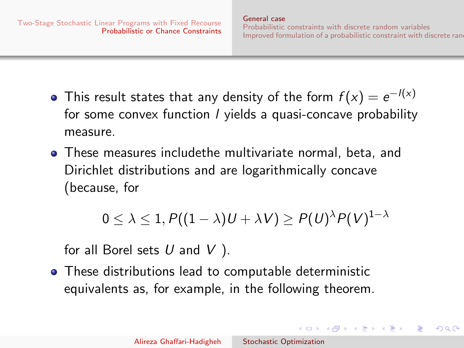イロト イ伊 トイヨ トイヨト

 $\Omega$ 

- This result states that any density of the form  $f(x)=e^{-l(x)}$ for some convex function *l* yields a quasi-concave probability measure.
- These measures includethe multivariate normal, beta, and Dirichlet distributions and are logarithmically concave (because, for

$$
0 \leq \lambda \leq 1, P((1 - \lambda)U + \lambda V) \geq P(U)^{\lambda}P(V)^{1 - \lambda}
$$

for all Borel sets  $U$  and  $V$  ).

These distributions lead to computable deterministic equivalents as, for example, in the following theorem.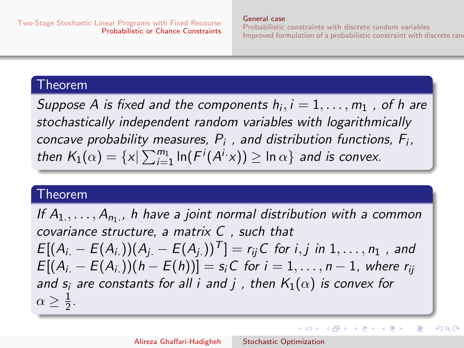[General case](#page-45-0)

[Probabilistic constraints with discrete random variables](#page-55-0) [Improved formulation of a probabilistic constraint with discrete rand](#page-64-0)om

イロン イ何ン イヨン イヨン

つへへ

### Theorem

Suppose A is fixed and the components  $h_i, i = 1, \ldots, m_1$  , of h are stochastically independent random variables with logarithmically concave probability measures,  $P_i$ , and distribution functions,  $F_i$ , then  $K_1(\alpha) = \{x | \sum_{i=1}^{m_1} \ln(F^i(A^i \cdot x)) \geq \ln \alpha \}$  and is convex.

## Theorem

If  $A_1, \ldots, A_{n_1}$ , h have a joint normal distribution with a common covariance structure, a matrix C , such that  $E[(A_i - E(A_i)) (A_i - E(A_i))^T] = r_{ii}C$  for i, j in 1, ..., n<sub>1</sub>, and  $E[(A_i - E(A_i))$  $(h - E(h))] = s_iC$  for  $i = 1, ..., n - 1$ , where  $r_{ij}$ and  $s_i$  are constants for all i and j, then  $K_1(\alpha)$  is convex for  $\alpha \geq \frac{1}{2}$  $rac{1}{2}$ .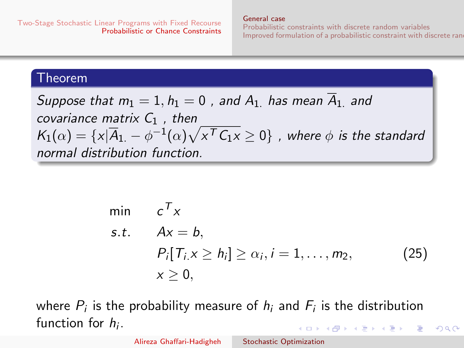[General case](#page-45-0)

[Probabilistic constraints with discrete random variables](#page-55-0) [Improved formulation of a probabilistic constraint with discrete rand](#page-64-0)om

<span id="page-52-0"></span> $QQ$ 

## Theorem

Suppose that 
$$
m_1 = 1
$$
,  $h_1 = 0$ , and  $A_1$  has mean  $\overline{A}_{1}$  and  
covariance matrix  $C_1$ , then  
 $K_1(\alpha) = \{x | \overline{A}_{1} - \phi^{-1}(\alpha) \sqrt{x^T C_1 x} \ge 0\}$ , where  $\phi$  is the standard  
normal distribution function.

$$
\min \quad c^T x
$$
\n
$$
s.t. \quad Ax = b,
$$
\n
$$
P_i[T_{i.X} \ge h_i] \ge \alpha_i, i = 1, ..., m_2,
$$
\n
$$
x \ge 0,
$$
\n(25)

where  $P_i$  is the probability measure of  $h_i$  and  $F_i$  is the distribution function for  $h_i$ .  $\left\{ \begin{array}{ccc} 1 & 0 & 0 \\ 0 & 1 & 0 \end{array} \right.$ 

Alireza Ghaffari-Hadigheh [Stochastic Optimization](#page-0-0)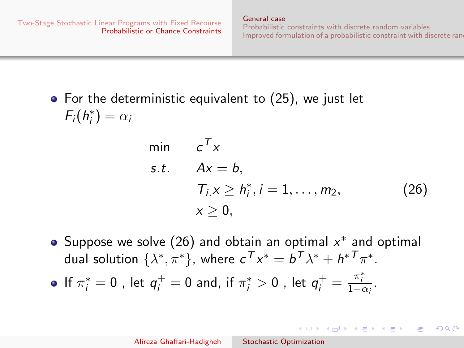[General case](#page-45-0) [Probabilistic constraints with discrete random variables](#page-55-0) [Improved formulation of a probabilistic constraint with discrete rand](#page-64-0)om

<span id="page-53-0"></span> $\left\{ \begin{array}{ccc} \square & \rightarrow & \left\{ \bigoplus \right\} & \leftarrow & \left\{ \begin{array}{ccc} \square & \rightarrow & \left\{ \begin{array}{ccc} \square & \rightarrow & \end{array} \right\} \end{array} \right. \end{array} \right.$ 

 $\Omega$ 

 $\bullet$  For the deterministic equivalent to [\(25\)](#page-52-0), we just let  $F_i(h_i^*) = \alpha_i$ 

$$
\begin{array}{ll}\n\min & c^T x \\
\text{s.t.} & Ax = b, \\
& T_i x \ge h_i^*, i = 1, \dots, m_2, \\
& x \ge 0,\n\end{array} \tag{26}
$$

Suppose we solve [\(26\)](#page-53-0) and obtain an optimal  $x^*$  and optimal dual solution  $\{\lambda^*, \pi^*\}$ , where  $c^{\mathsf{T}} x^* = b^{\mathsf{T}} \lambda^* + h^{* \mathsf{T}} \pi^*.$ 

If  $\pi_i^*=0$  , let  $q_i^+=0$  and, if  $\pi_i^*>0$  , let  $q_i^+=\frac{\pi_i^*}{1-\alpha_i}.$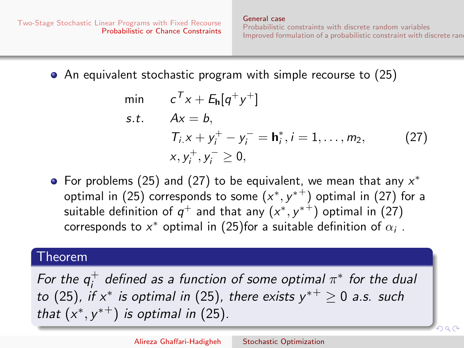• An equivalent stochastic program with simple recourse to [\(25\)](#page-52-0)

<span id="page-54-0"></span>min 
$$
c^T x + E_h[q^+ y^+]
$$
  
\ns.t.  $Ax = b$ ,  
\n $T_i x + y_i^+ - y_i^- = h_i^*, i = 1, ..., m_2$ , (27)  
\n $x, y_i^+, y_i^- \ge 0$ ,

For problems [\(25\)](#page-52-0) and [\(27\)](#page-54-0) to be equivalent, we mean that any  $x^*$ optimal in [\(25\)](#page-52-0) corresponds to some  $(x^*,y^{*\pm})$  optimal in [\(27\)](#page-54-0) for a suitable definition of  $q^+$  and that any  $(x^*,y^{*\pm})$  optimal in  $(27)$ corresponds to  $x^*$  optimal in [\(25\)](#page-52-0)for a suitable definition of  $\alpha_i$  .

### Theorem

For the  $q_i^+$  $_i^+$  defined as a function of some optimal  $\pi^*$  for the dual to [\(25\)](#page-52-0), if  $x^*$  is optimal in (25), there exists  $y^{*+} \geq 0$  a.s. such that  $(x^*, y^{*+})$  is optimal in [\(25\)](#page-52-0).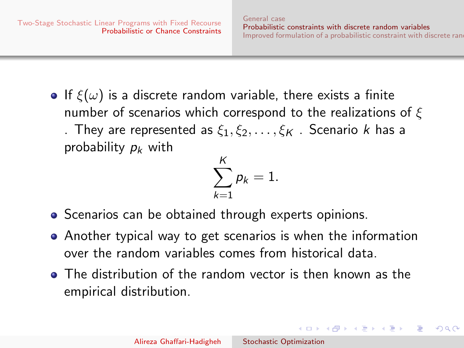$\Omega$ 

<span id="page-55-0"></span>• If  $\xi(\omega)$  is a discrete random variable, there exists a finite number of scenarios which correspond to the realizations of  $\xi$ . They are represented as  $\xi_1, \xi_2, \ldots, \xi_K$  . Scenario k has a probability  $p_k$  with

$$
\sum_{k=1}^K p_k = 1.
$$

- Scenarios can be obtained through experts opinions.
- Another typical way to get scenarios is when the information over the random variables comes from historical data.
- The distribution of the random vector is then known as the empirical distribution.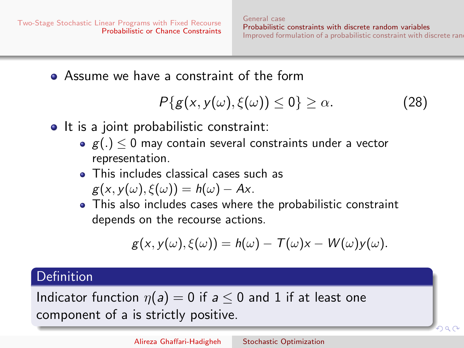$\circ$   $\circ$ 

Assume we have a constraint of the form

<span id="page-56-0"></span>
$$
P\{g(x,y(\omega),\xi(\omega))\leq 0\}\geq\alpha.\tag{28}
$$

- It is a joint probabilistic constraint:
	- $g(.) < 0$  may contain several constraints under a vector representation.
	- This includes classical cases such as  $g(x, y(\omega), \xi(\omega)) = h(\omega) - Ax$ .
	- This also includes cases where the probabilistic constraint depends on the recourse actions.

$$
g(x,y(\omega),\xi(\omega))=h(\omega)-T(\omega)x-W(\omega)y(\omega).
$$

# **Definition**

Indicator function  $\eta(a) = 0$  if  $a \le 0$  and 1 if at least one component of a is strictly positive.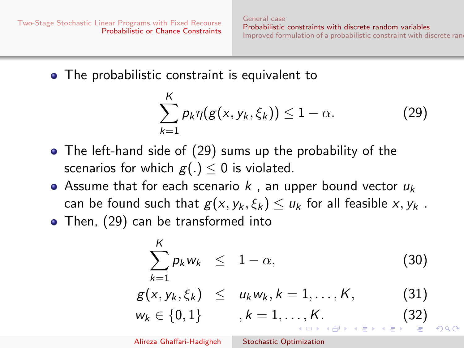[General case](#page-45-0) [Probabilistic constraints with discrete random variables](#page-55-0) [Improved formulation of a probabilistic constraint with discrete rand](#page-64-0)om

• The probabilistic constraint is equivalent to

<span id="page-57-0"></span>
$$
\sum_{k=1}^{K} p_k \eta(g(x, y_k, \xi_k)) \le 1 - \alpha.
$$
 (29)

- The left-hand side of [\(29\)](#page-57-0) sums up the probability of the scenarios for which  $g(.) \leq 0$  is violated.
- Assume that for each scenario  $k$ , an upper bound vector  $u_k$ can be found such that  $g(x, y_k, \xi_k) \le u_k$  for all feasible  $x, y_k$ .
- Then, [\(29\)](#page-57-0) can be transformed into

$$
\sum_{k=1}^{K} p_k w_k \leq 1 - \alpha,
$$
\n(30)  
\n
$$
g(x, y_k, \xi_k) \leq u_k w_k, k = 1, \dots, K,
$$
\n(31)

$$
w_k \in \{0, 1\}
$$
,  $k = 1, ..., K$ . (32)

Alireza Ghaffari-Hadigheh [Stochastic Optimization](#page-0-0)

<span id="page-57-2"></span><span id="page-57-1"></span>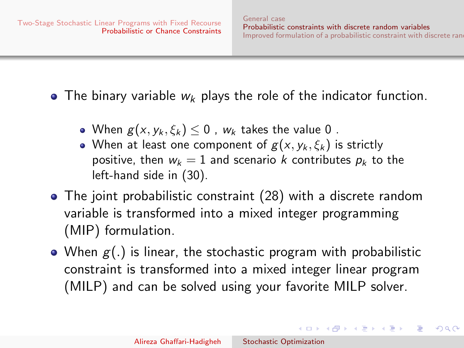イロメ イ母メ イヨメ イヨメー

 $\Omega$ 

• The binary variable  $w_k$  plays the role of the indicator function.

- When  $g(x, y_k, \xi_k)$  < 0,  $w_k$  takes the value 0.
- When at least one component of  $g(x, y_k, \xi_k)$  is strictly positive, then  $w_k = 1$  and scenario k contributes  $p_k$  to the left-hand side in [\(30\)](#page-57-1).
- The joint probabilistic constraint [\(28\)](#page-56-0) with a discrete random variable is transformed into a mixed integer programming (MIP) formulation.
- When  $g(.)$  is linear, the stochastic program with probabilistic constraint is transformed into a mixed integer linear program (MILP) and can be solved using your favorite MILP solver.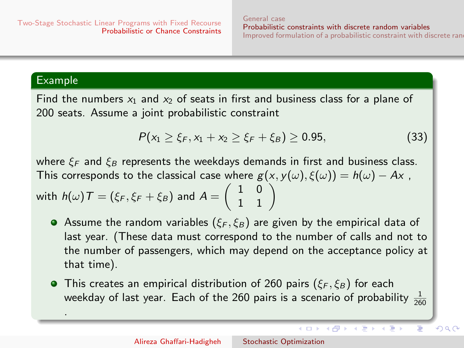$($   $\Box$   $)$   $($   $\overline{P}$   $)$   $($   $\overline{P}$   $)$   $($   $\overline{P}$   $)$   $($   $\overline{P}$   $)$ 

 $\Omega$ 

### Example

.

Find the numbers  $x_1$  and  $x_2$  of seats in first and business class for a plane of 200 seats. Assume a joint probabilistic constraint

<span id="page-59-0"></span>
$$
P(x_1 \geq \xi_F, x_1 + x_2 \geq \xi_F + \xi_B) \geq 0.95, \tag{33}
$$

where  $\xi_F$  and  $\xi_B$  represents the weekdays demands in first and business class. This corresponds to the classical case where  $g(x, y(\omega), \xi(\omega)) = h(\omega) - Ax$ , with  $h(\omega)\, \mathcal{T} = (\xi_{\mathcal{F}}, \xi_{\mathcal{F}} + \xi_{\mathcal{B}})$  and  $A = \left( \begin{array}{cc} 1 & 0 \ 1 & 1 \end{array} \right)$ 

- Assume the random variables ( $\xi_F, \xi_B$ ) are given by the empirical data of last year. (These data must correspond to the number of calls and not to the number of passengers, which may depend on the acceptance policy at that time).
- **•** This creates an empirical distribution of 260 pairs ( $\xi_F, \xi_B$ ) for each weekday of last year. Each of the 260 pairs is a scenario of probability <sup>1</sup>  $rac{1}{260}$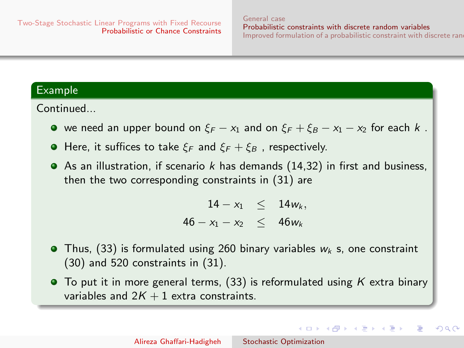$\mathbf{A} \equiv \mathbf{A} + \mathbf{A} + \mathbf{A} + \mathbf{A} + \mathbf{A} + \mathbf{A} + \mathbf{A} + \mathbf{A} + \mathbf{A} + \mathbf{A} + \mathbf{A} + \mathbf{A} + \mathbf{A} + \mathbf{A} + \mathbf{A} + \mathbf{A} + \mathbf{A} + \mathbf{A} + \mathbf{A} + \mathbf{A} + \mathbf{A} + \mathbf{A} + \mathbf{A} + \mathbf{A} + \mathbf{A} + \mathbf{A} + \mathbf{A} + \mathbf{A} + \mathbf{A} + \mathbf{A} + \math$ 

 $2990$ 

### Example

Continued...

- we need an upper bound on  $\xi_F x_1$  and on  $\xi_F + \xi_B x_1 x_2$  for each k.
- **•** Here, it suffices to take  $\xi_F$  and  $\xi_F + \xi_B$ , respectively.
- As an illustration, if scenario k has demands  $(14,32)$  in first and business, then the two corresponding constraints in [\(31\)](#page-57-2) are

 $14 - x_1 < 14w_k$ ,  $46 - x_1 - x_2 < 46w_k$ 

- $\bullet$  Thus, [\(33\)](#page-59-0) is formulated using 260 binary variables  $w_k$  s, one constraint [\(30\)](#page-57-1) and 520 constraints in [\(31\)](#page-57-2).
- $\bullet$  To put it in more general terms, [\(33\)](#page-59-0) is reformulated using K extra binary variables and  $2K + 1$  extra constraints.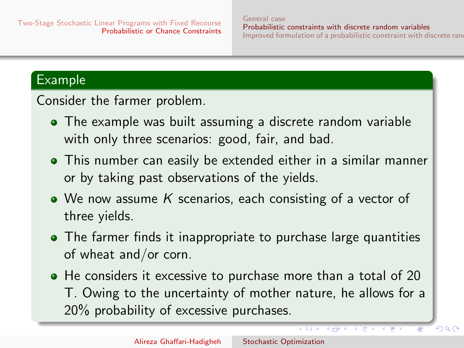$QQ$ 

# Example

Consider the farmer problem.

- The example was built assuming a discrete random variable with only three scenarios: good, fair, and bad.
- This number can easily be extended either in a similar manner or by taking past observations of the yields.
- We now assume K scenarios, each consisting of a vector of three yields.
- The farmer finds it inappropriate to purchase large quantities of wheat and/or corn.
- He considers it excessive to purchase more than a total of 20 T. Owing to the uncertainty of mother nature, he allows for a 20% probability of excessive purchases.

**KITP**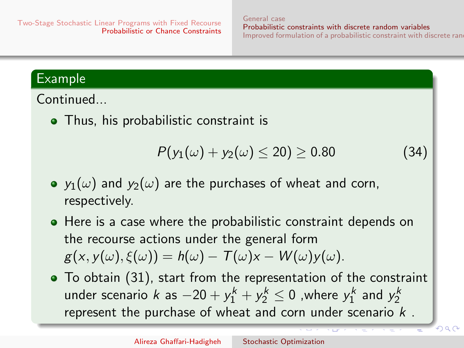റെ ഭ

# Example

Continued...

• Thus, his probabilistic constraint is

<span id="page-62-0"></span>
$$
P(y_1(\omega) + y_2(\omega) \le 20) \ge 0.80 \tag{34}
$$

- $y_1(\omega)$  and  $y_2(\omega)$  are the purchases of wheat and corn, respectively.
- Here is a case where the probabilistic constraint depends on the recourse actions under the general form  $g(x, y(\omega), \xi(\omega)) = h(\omega) - T(\omega)x - W(\omega)y(\omega).$
- To obtain [\(31\)](#page-57-2), start from the representation of the constraint under scenario k as  $-20 + y_1^k + y_2^k \leq 0$  ,where  $y_1^k$  and  $y_2^k$ represent the purchase of wheat and corn under scenario  $k$ .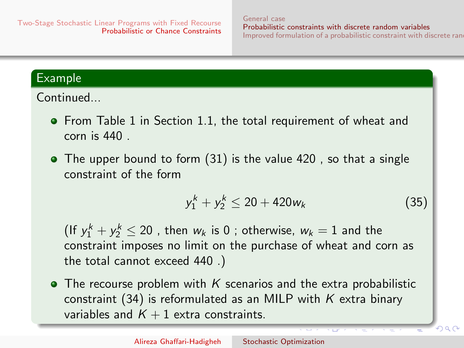$\Omega$ 

## <span id="page-63-0"></span>Example

Continued...

- **•** From Table 1 in Section 1.1, the total requirement of wheat and corn is 440 .
- The upper bound to form [\(31\)](#page-57-2) is the value 420, so that a single constraint of the form

<span id="page-63-1"></span>
$$
y_1^k + y_2^k \le 20 + 420w_k \tag{35}
$$

(If  $y_1^k + y_2^k \le 20$  , then  $w_k$  is 0 ; otherwise,  $w_k = 1$  and the constraint imposes no limit on the purchase of wheat and corn as the total cannot exceed 440 .)

• The recourse problem with K scenarios and the extra probabilistic constraint [\(34\)](#page-62-0) is reformulated as an MILP with  $K$  extra binary variables and  $K + 1$  extra constraints.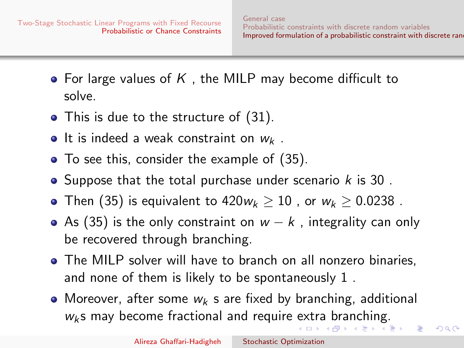- <span id="page-64-0"></span>• For large values of K, the MILP may become difficult to solve.
- This is due to the structure of [\(31\)](#page-57-2).
- It is indeed a weak constraint on  $w_k$ .
- To see this, consider the example of [\(35\)](#page-63-1).
- Suppose that the total purchase under scenario  $k$  is 30.
- Then [\(35\)](#page-63-1) is equivalent to  $420w_k > 10$ , or  $w_k > 0.0238$ .
- As [\(35\)](#page-63-1) is the only constraint on  $w k$ , integrality can only be recovered through branching.
- The MILP solver will have to branch on all nonzero binaries, and none of them is likely to be spontaneously 1 .
- Moreover, after some  $w_k$  s are fixed by branching, additional  $w_k$ s may become fractional and require [ex](#page-63-0)[tra](#page-65-0) [br](#page-64-0)[a](#page-65-0)[n](#page-63-0)[c](#page-64-0)[hin](#page-70-0)[g](#page-44-0)[.](#page-45-0)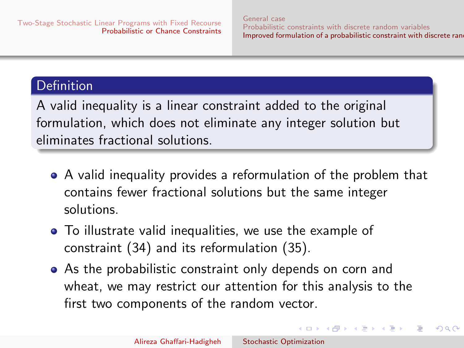イロメ イ何メ イヨメ イヨメ

 $\Omega$ 

# <span id="page-65-0"></span>**Definition**

A valid inequality is a linear constraint added to the original formulation, which does not eliminate any integer solution but eliminates fractional solutions.

- A valid inequality provides a reformulation of the problem that contains fewer fractional solutions but the same integer solutions.
- To illustrate valid inequalities, we use the example of constraint [\(34\)](#page-62-0) and its reformulation [\(35\)](#page-63-1).
- As the probabilistic constraint only depends on corn and wheat, we may restrict our attention for this analysis to the first two components of the random vector.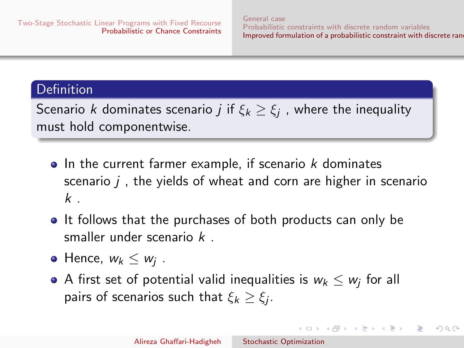$\Omega$ 

## Definition

Scenario  $k$  dominates scenario  $j$  if  $\xi_k \geq \xi_j$  , where the inequality must hold componentwise.

- $\bullet$  In the current farmer example, if scenario  $k$  dominates scenario  $j$ , the yields of wheat and corn are higher in scenario  $k$ .
- It follows that the purchases of both products can only be smaller under scenario k .
- Hence,  $w_k \leq w_j$ .
- A first set of potential valid inequalities is  $w_k \leq w_j$  for all pairs of scenarios such that  $\xi_k \geq \xi_j$ .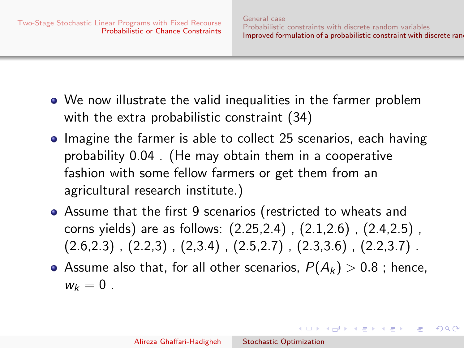$\left\{ \begin{array}{ccc} \square & \rightarrow & \left\{ \bigoplus \bullet & \leftarrow \Xi \right\} & \rightarrow & \left\{ \begin{array}{ccc} \Xi & \rightarrow & \leftarrow \end{array} \right. \end{array} \right.$ 

- We now illustrate the valid inequalities in the farmer problem with the extra probabilistic constraint [\(34\)](#page-62-0)
- Imagine the farmer is able to collect 25 scenarios, each having probability 0.04 . (He may obtain them in a cooperative fashion with some fellow farmers or get them from an agricultural research institute.)
- Assume that the first 9 scenarios (restricted to wheats and corns yields) are as follows: (2.25,2.4) , (2.1,2.6) , (2.4,2.5) ,  $(2.6,2.3)$ ,  $(2.2,3)$ ,  $(2.3,4)$ ,  $(2.5,2.7)$ ,  $(2.3,3.6)$ ,  $(2.2,3.7)$ .
- Assume also that, for all other scenarios,  $P(A_k) > 0.8$ ; hence,  $w_k = 0$ .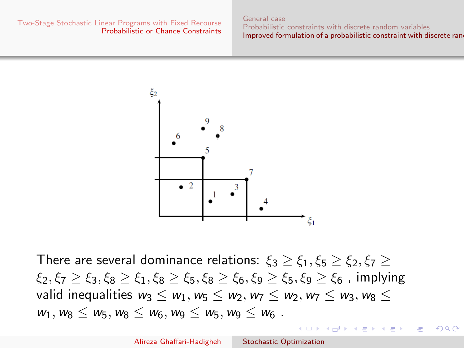[General case](#page-45-0) [Probabilistic constraints with discrete random variables](#page-55-0) [Improved formulation of a probabilistic constraint with discrete rand](#page-64-0)om

イロト イ母ト イヨト イ

 $\Omega$ 



There are several dominance relations:  $\xi_3 \geq \xi_1, \xi_5 \geq \xi_2, \xi_7 \geq 1$  $\xi_2, \xi_7 > \xi_3, \xi_8 > \xi_1, \xi_8 > \xi_5, \xi_8 > \xi_6, \xi_9 > \xi_5, \xi_9 > \xi_6$ , implying valid inequalities  $w_3 \leq w_1, w_5 \leq w_2, w_7 \leq w_2, w_7 \leq w_3, w_8 \leq w_4$  $w_1, w_8 \leq w_5, w_8 \leq w_6, w_9 \leq w_5, w_9 \leq w_6$ .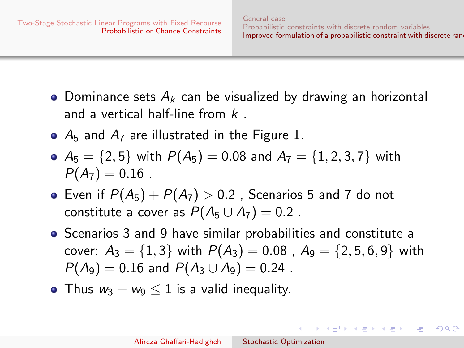$\left\{ \begin{array}{ccc} \square & \rightarrow & \left\langle \bigoplus \right. \right. & \rightarrow & \left\langle \bigtriangledown \right. & \rightarrow & \left\langle \bigtriangledown \right. & \rightarrow & \left\langle \bigtriangledown \right. \right. \\ \square & \rightarrow & \left\langle \bigodot \right. & \square & \rightarrow & \left\langle \bigtriangleup \right. \end{array} \right.$ 

- Dominance sets  $A_k$  can be visualized by drawing an horizontal and a vertical half-line from  $k$
- $\bullet$   $A_5$  and  $A_7$  are illustrated in the Figure 1.
- $A_5 = \{2, 5\}$  with  $P(A_5) = 0.08$  and  $A_7 = \{1, 2, 3, 7\}$  with  $P(A_7)=0.16$ .
- Even if  $P(A_5) + P(A_7) > 0.2$  , Scenarios 5 and 7 do not constitute a cover as  $P(A_5 \cup A_7) = 0.2$ .
- Scenarios 3 and 9 have similar probabilities and constitute a cover:  $A_3 = \{1, 3\}$  with  $P(A_3) = 0.08$ ,  $A_9 = \{2, 5, 6, 9\}$  with  $P(A_9) = 0.16$  and  $P(A_3 \cup A_9) = 0.24$ .
- Thus  $w_3 + w_9 \leq 1$  is a valid inequality.